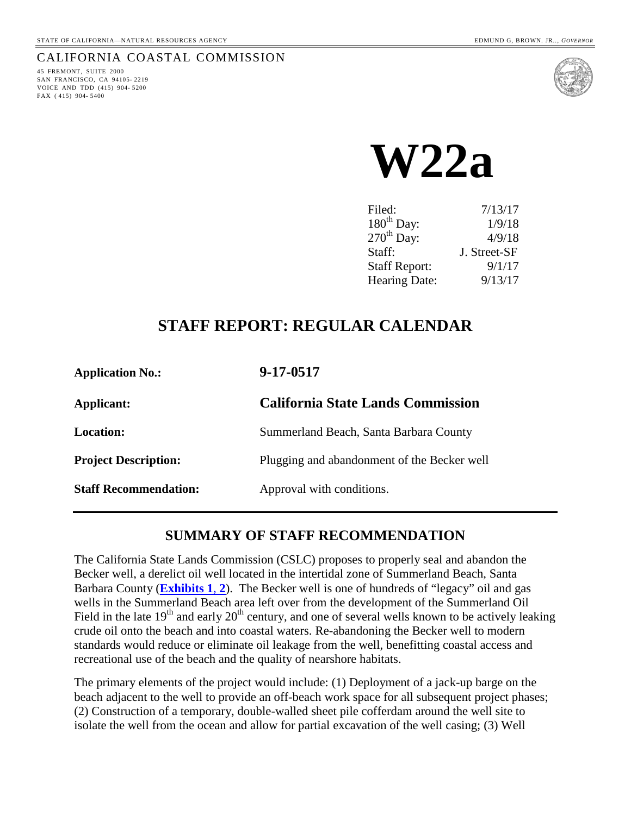#### CALIFORNIA COASTAL COMMISSION

45 FREMONT, SUITE 2000 SAN FRANCISCO, CA 94105- 2219 VOICE AND TDD (415) 904- 5200 FAX ( 415) 904- 5400



**W22a**

| 7/13/17      |
|--------------|
| 1/9/18       |
| 4/9/18       |
| J. Street-SF |
| 9/1/17       |
| 9/13/17      |
|              |

## **STAFF REPORT: REGULAR CALENDAR**

| <b>Application No.:</b>      | 9-17-0517                                   |
|------------------------------|---------------------------------------------|
| Applicant:                   | <b>California State Lands Commission</b>    |
| <b>Location:</b>             | Summerland Beach, Santa Barbara County      |
| <b>Project Description:</b>  | Plugging and abandonment of the Becker well |
| <b>Staff Recommendation:</b> | Approval with conditions.                   |

## **SUMMARY OF STAFF RECOMMENDATION**

The California State Lands Commission (CSLC) proposes to properly seal and abandon the Becker well, a derelict oil well located in the intertidal zone of Summerland Beach, Santa Barbara County (**[Exhibits 1](https://documents.coastal.ca.gov/reports/2017/9/w22a/w22a-9-2017-exhibits.pdf)**, **2**). The Becker well is one of hundreds of "legacy" oil and gas wells in the Summerland Beach area left over from the development of the Summerland Oil Field in the late  $19<sup>th</sup>$  and early  $20<sup>th</sup>$  century, and one of several wells known to be actively leaking crude oil onto the beach and into coastal waters. Re-abandoning the Becker well to modern standards would reduce or eliminate oil leakage from the well, benefitting coastal access and recreational use of the beach and the quality of nearshore habitats.

The primary elements of the project would include: (1) Deployment of a jack-up barge on the beach adjacent to the well to provide an off-beach work space for all subsequent project phases; (2) Construction of a temporary, double-walled sheet pile cofferdam around the well site to isolate the well from the ocean and allow for partial excavation of the well casing; (3) Well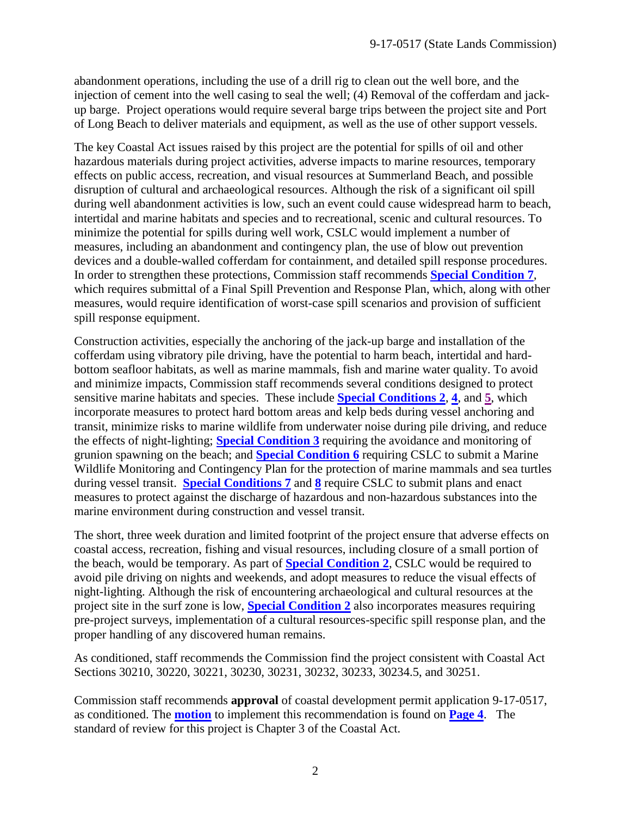abandonment operations, including the use of a drill rig to clean out the well bore, and the injection of cement into the well casing to seal the well; (4) Removal of the cofferdam and jackup barge. Project operations would require several barge trips between the project site and Port of Long Beach to deliver materials and equipment, as well as the use of other support vessels.

The key Coastal Act issues raised by this project are the potential for spills of oil and other hazardous materials during project activities, adverse impacts to marine resources, temporary effects on public access, recreation, and visual resources at Summerland Beach, and possible disruption of cultural and archaeological resources. Although the risk of a significant oil spill during well abandonment activities is low, such an event could cause widespread harm to beach, intertidal and marine habitats and species and to recreational, scenic and cultural resources. To minimize the potential for spills during well work, CSLC would implement a number of measures, including an abandonment and contingency plan, the use of blow out prevention devices and a double-walled cofferdam for containment, and detailed spill response procedures. In order to strengthen these protections, Commission staff recommends **[Special Condition 7](#page-7-0)**, which requires submittal of a Final Spill Prevention and Response Plan, which, along with other measures, would require identification of worst-case spill scenarios and provision of sufficient spill response equipment.

Construction activities, especially the anchoring of the jack-up barge and installation of the cofferdam using vibratory pile driving, have the potential to harm beach, intertidal and hardbottom seafloor habitats, as well as marine mammals, fish and marine water quality. To avoid and minimize impacts, Commission staff recommends several conditions designed to protect sensitive marine habitats and species. These include **[Special Conditions](#page-4-0) 2**, **[4](#page-5-0)**, and **[5](#page-5-1)**, which incorporate measures to protect hard bottom areas and kelp beds during vessel anchoring and transit, minimize risks to marine wildlife from underwater noise during pile driving, and reduce the effects of night-lighting; **[Special Condition 3](#page-4-1)** requiring the avoidance and monitoring of grunion spawning on the beach; and **[Special Condition 6](#page-5-2)** requiring CSLC to submit a Marine Wildlife Monitoring and Contingency Plan for the protection of marine mammals and sea turtles during vessel transit. **[Special Conditions 7](#page-7-0)** and **[8](#page-7-1)** require CSLC to submit plans and enact measures to protect against the discharge of hazardous and non-hazardous substances into the marine environment during construction and vessel transit.

The short, three week duration and limited footprint of the project ensure that adverse effects on coastal access, recreation, fishing and visual resources, including closure of a small portion of the beach, would be temporary. As part of **[Special Condition 2](#page-4-0)**, CSLC would be required to avoid pile driving on nights and weekends, and adopt measures to reduce the visual effects of night-lighting. Although the risk of encountering archaeological and cultural resources at the project site in the surf zone is low, **[Special Condition 2](#page-4-0)** also incorporates measures requiring pre-project surveys, implementation of a cultural resources-specific spill response plan, and the proper handling of any discovered human remains.

As conditioned, staff recommends the Commission find the project consistent with Coastal Act Sections 30210, 30220, 30221, 30230, 30231, 30232, 30233, 30234.5, and 30251.

Commission staff recommends **approval** of coastal development permit application 9-17-0517, as conditioned. The **[motion](#page-3-0)** to implement this recommendation is found on **[Page 4](#page-3-0)**. The standard of review for this project is Chapter 3 of the Coastal Act.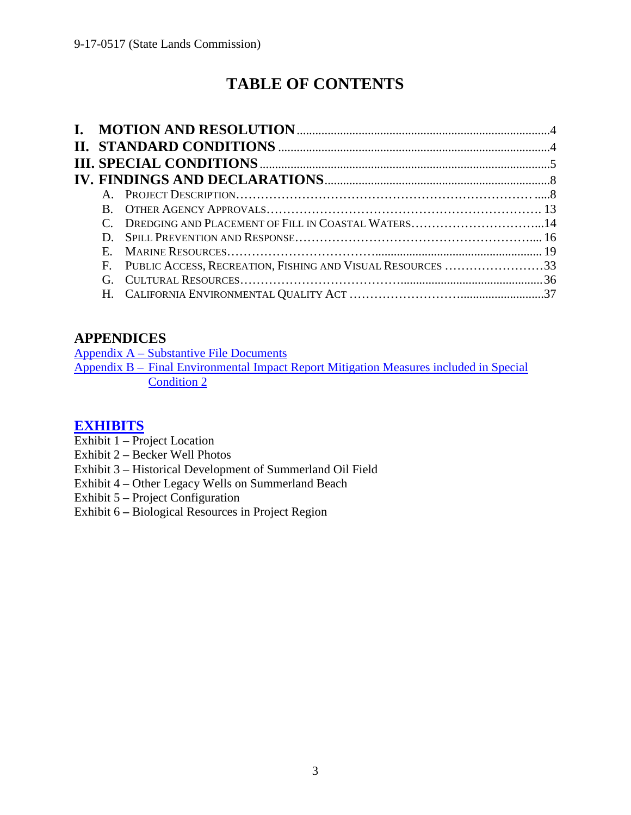# **TABLE OF CONTENTS**

|    | C. DREDGING AND PLACEMENT OF FILL IN COASTAL WATERS14         |  |
|----|---------------------------------------------------------------|--|
|    |                                                               |  |
| E. |                                                               |  |
|    | F. PUBLIC ACCESS, RECREATION, FISHING AND VISUAL RESOURCES 33 |  |
|    |                                                               |  |
|    |                                                               |  |

## **APPENDICES**

Appendix A – [Substantive File Documents](#page-37-0) Appendix B – Final Environmental Impact Report [Mitigation Measures included in Special](#page-38-0)  [Condition 2](#page-38-0)

## **[EXHIBITS](https://documents.coastal.ca.gov/reports/2017/9/w22a/w22a-9-2017-exhibits.pdf)**

- Exhibit  $1 -$  Project Location
- Exhibit 2 Becker Well Photos
- Exhibit 3 Historical Development of Summerland Oil Field
- Exhibit 4 Other Legacy Wells on Summerland Beach
- Exhibit 5 Project Configuration
- Exhibit 6 **–** Biological Resources in Project Region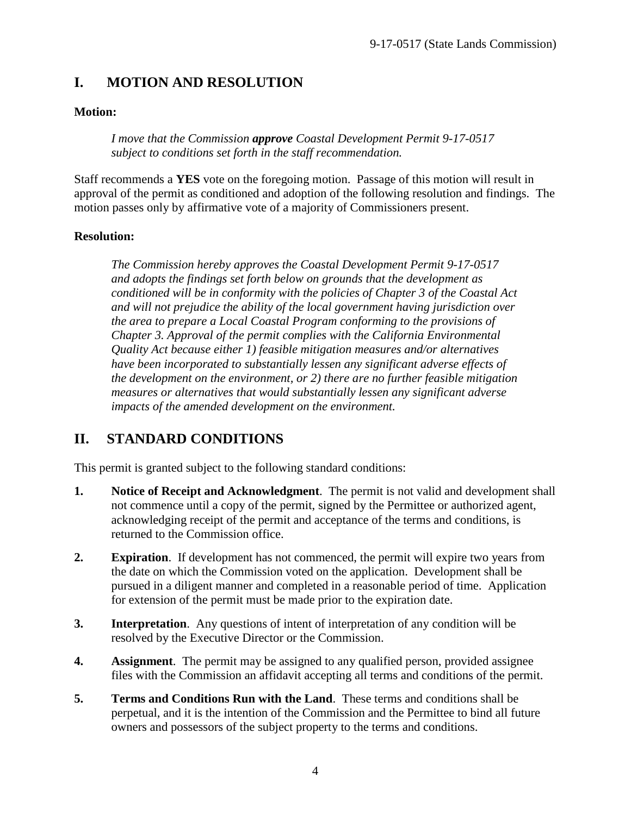## <span id="page-3-0"></span>**I. MOTION AND RESOLUTION**

## **Motion:**

*I move that the Commission approve Coastal Development Permit 9-17-0517 subject to conditions set forth in the staff recommendation.*

Staff recommends a **YES** vote on the foregoing motion. Passage of this motion will result in approval of the permit as conditioned and adoption of the following resolution and findings. The motion passes only by affirmative vote of a majority of Commissioners present.

## **Resolution:**

*The Commission hereby approves the Coastal Development Permit 9-17-0517 and adopts the findings set forth below on grounds that the development as conditioned will be in conformity with the policies of Chapter 3 of the Coastal Act and will not prejudice the ability of the local government having jurisdiction over the area to prepare a Local Coastal Program conforming to the provisions of Chapter 3. Approval of the permit complies with the California Environmental Quality Act because either 1) feasible mitigation measures and/or alternatives*  have been incorporated to substantially lessen any significant adverse effects of *the development on the environment, or 2) there are no further feasible mitigation measures or alternatives that would substantially lessen any significant adverse impacts of the amended development on the environment.*

## <span id="page-3-1"></span>**II. STANDARD CONDITIONS**

This permit is granted subject to the following standard conditions:

- **1. Notice of Receipt and Acknowledgment**. The permit is not valid and development shall not commence until a copy of the permit, signed by the Permittee or authorized agent, acknowledging receipt of the permit and acceptance of the terms and conditions, is returned to the Commission office.
- **2. Expiration**. If development has not commenced, the permit will expire two years from the date on which the Commission voted on the application. Development shall be pursued in a diligent manner and completed in a reasonable period of time. Application for extension of the permit must be made prior to the expiration date.
- **3. Interpretation**. Any questions of intent of interpretation of any condition will be resolved by the Executive Director or the Commission.
- **4. Assignment**. The permit may be assigned to any qualified person, provided assignee files with the Commission an affidavit accepting all terms and conditions of the permit.
- **5. Terms and Conditions Run with the Land**. These terms and conditions shall be perpetual, and it is the intention of the Commission and the Permittee to bind all future owners and possessors of the subject property to the terms and conditions.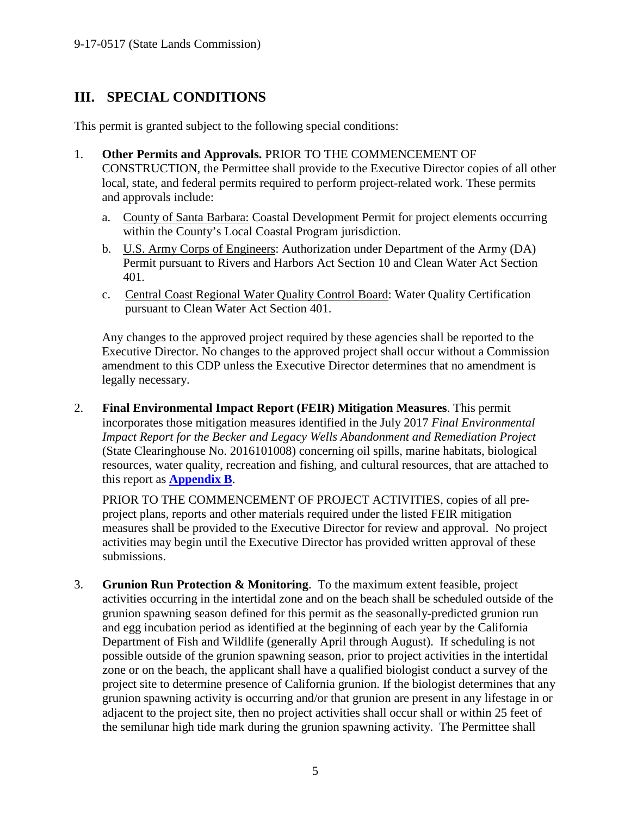## <span id="page-4-2"></span>**III. SPECIAL CONDITIONS**

This permit is granted subject to the following special conditions:

- <span id="page-4-3"></span>1. **Other Permits and Approvals.** PRIOR TO THE COMMENCEMENT OF CONSTRUCTION, the Permittee shall provide to the Executive Director copies of all other local, state, and federal permits required to perform project-related work. These permits and approvals include:
	- a. County of Santa Barbara: Coastal Development Permit for project elements occurring within the County's Local Coastal Program jurisdiction.
	- b. U.S. Army Corps of Engineers: Authorization under Department of the Army (DA) Permit pursuant to Rivers and Harbors Act Section 10 and Clean Water Act Section 401.
	- c. Central Coast Regional Water Quality Control Board: Water Quality Certification pursuant to Clean Water Act Section 401.

Any changes to the approved project required by these agencies shall be reported to the Executive Director. No changes to the approved project shall occur without a Commission amendment to this CDP unless the Executive Director determines that no amendment is legally necessary.

<span id="page-4-0"></span>2. **Final Environmental Impact Report (FEIR) Mitigation Measures**. This permit incorporates those mitigation measures identified in the July 2017 *Final Environmental Impact Report for the Becker and Legacy Wells Abandonment and Remediation Project*  (State Clearinghouse No. 2016101008) concerning oil spills, marine habitats, biological resources, water quality, recreation and fishing, and cultural resources, that are attached to this report as **[Appendix B](#page-38-0)**.

PRIOR TO THE COMMENCEMENT OF PROJECT ACTIVITIES, copies of all preproject plans, reports and other materials required under the listed FEIR mitigation measures shall be provided to the Executive Director for review and approval. No project activities may begin until the Executive Director has provided written approval of these submissions.

<span id="page-4-1"></span>3. **Grunion Run Protection & Monitoring**. To the maximum extent feasible, project activities occurring in the intertidal zone and on the beach shall be scheduled outside of the grunion spawning season defined for this permit as the seasonally-predicted grunion run and egg incubation period as identified at the beginning of each year by the California Department of Fish and Wildlife (generally April through August). If scheduling is not possible outside of the grunion spawning season, prior to project activities in the intertidal zone or on the beach, the applicant shall have a qualified biologist conduct a survey of the project site to determine presence of California grunion. If the biologist determines that any grunion spawning activity is occurring and/or that grunion are present in any lifestage in or adjacent to the project site, then no project activities shall occur shall or within 25 feet of the semilunar high tide mark during the grunion spawning activity. The Permittee shall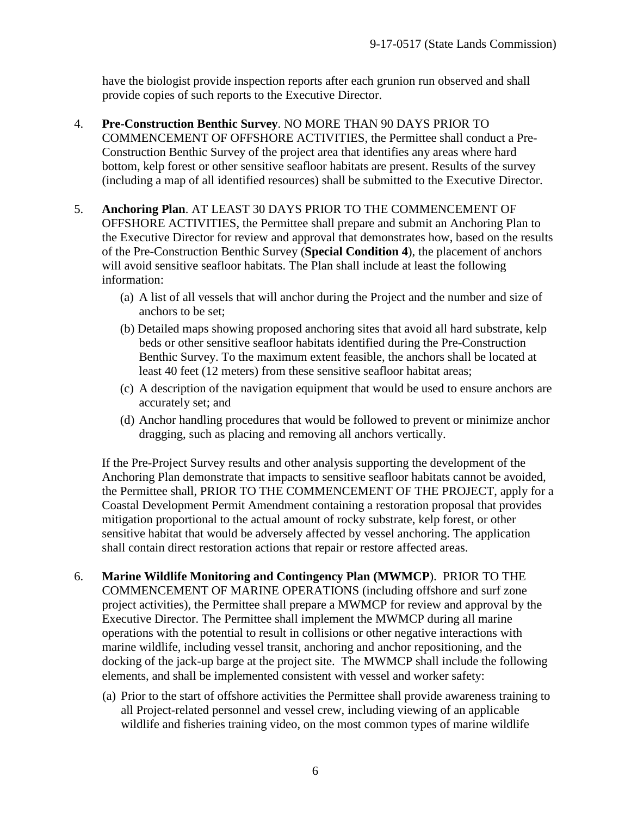have the biologist provide inspection reports after each grunion run observed and shall provide copies of such reports to the Executive Director.

- <span id="page-5-0"></span>4. **Pre-Construction Benthic Survey**. NO MORE THAN 90 DAYS PRIOR TO COMMENCEMENT OF OFFSHORE ACTIVITIES, the Permittee shall conduct a Pre-Construction Benthic Survey of the project area that identifies any areas where hard bottom, kelp forest or other sensitive seafloor habitats are present. Results of the survey (including a map of all identified resources) shall be submitted to the Executive Director.
- <span id="page-5-1"></span>5. **Anchoring Plan**. AT LEAST 30 DAYS PRIOR TO THE COMMENCEMENT OF OFFSHORE ACTIVITIES, the Permittee shall prepare and submit an Anchoring Plan to the Executive Director for review and approval that demonstrates how, based on the results of the Pre-Construction Benthic Survey (**Special Condition 4**), the placement of anchors will avoid sensitive seafloor habitats. The Plan shall include at least the following information:
	- (a) A list of all vessels that will anchor during the Project and the number and size of anchors to be set;
	- (b) Detailed maps showing proposed anchoring sites that avoid all hard substrate, kelp beds or other sensitive seafloor habitats identified during the Pre-Construction Benthic Survey. To the maximum extent feasible, the anchors shall be located at least 40 feet (12 meters) from these sensitive seafloor habitat areas;
	- (c) A description of the navigation equipment that would be used to ensure anchors are accurately set; and
	- (d) Anchor handling procedures that would be followed to prevent or minimize anchor dragging, such as placing and removing all anchors vertically.

If the Pre-Project Survey results and other analysis supporting the development of the Anchoring Plan demonstrate that impacts to sensitive seafloor habitats cannot be avoided, the Permittee shall, PRIOR TO THE COMMENCEMENT OF THE PROJECT, apply for a Coastal Development Permit Amendment containing a restoration proposal that provides mitigation proportional to the actual amount of rocky substrate, kelp forest, or other sensitive habitat that would be adversely affected by vessel anchoring. The application shall contain direct restoration actions that repair or restore affected areas.

- <span id="page-5-2"></span>6. **Marine Wildlife Monitoring and Contingency Plan (MWMCP**). PRIOR TO THE COMMENCEMENT OF MARINE OPERATIONS (including offshore and surf zone project activities), the Permittee shall prepare a MWMCP for review and approval by the Executive Director. The Permittee shall implement the MWMCP during all marine operations with the potential to result in collisions or other negative interactions with marine wildlife, including vessel transit, anchoring and anchor repositioning, and the docking of the jack-up barge at the project site. The MWMCP shall include the following elements, and shall be implemented consistent with vessel and worker safety:
	- (a) Prior to the start of offshore activities the Permittee shall provide awareness training to all Project-related personnel and vessel crew, including viewing of an applicable wildlife and fisheries training video, on the most common types of marine wildlife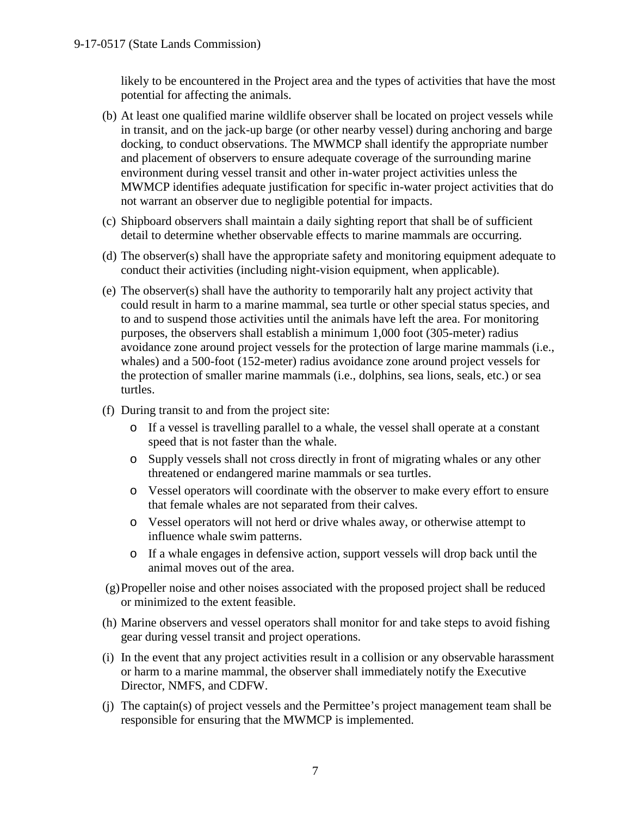likely to be encountered in the Project area and the types of activities that have the most potential for affecting the animals.

- (b) At least one qualified marine wildlife observer shall be located on project vessels while in transit, and on the jack-up barge (or other nearby vessel) during anchoring and barge docking, to conduct observations. The MWMCP shall identify the appropriate number and placement of observers to ensure adequate coverage of the surrounding marine environment during vessel transit and other in-water project activities unless the MWMCP identifies adequate justification for specific in-water project activities that do not warrant an observer due to negligible potential for impacts.
- (c) Shipboard observers shall maintain a daily sighting report that shall be of sufficient detail to determine whether observable effects to marine mammals are occurring.
- (d) The observer(s) shall have the appropriate safety and monitoring equipment adequate to conduct their activities (including night-vision equipment, when applicable).
- (e) The observer(s) shall have the authority to temporarily halt any project activity that could result in harm to a marine mammal, sea turtle or other special status species, and to and to suspend those activities until the animals have left the area. For monitoring purposes, the observers shall establish a minimum 1,000 foot (305-meter) radius avoidance zone around project vessels for the protection of large marine mammals (i.e., whales) and a 500-foot (152-meter) radius avoidance zone around project vessels for the protection of smaller marine mammals (i.e., dolphins, sea lions, seals, etc.) or sea turtles.
- (f) During transit to and from the project site:
	- o If a vessel is travelling parallel to a whale, the vessel shall operate at a constant speed that is not faster than the whale.
	- o Supply vessels shall not cross directly in front of migrating whales or any other threatened or endangered marine mammals or sea turtles.
	- o Vessel operators will coordinate with the observer to make every effort to ensure that female whales are not separated from their calves.
	- o Vessel operators will not herd or drive whales away, or otherwise attempt to influence whale swim patterns.
	- o If a whale engages in defensive action, support vessels will drop back until the animal moves out of the area.
- (g)Propeller noise and other noises associated with the proposed project shall be reduced or minimized to the extent feasible.
- (h) Marine observers and vessel operators shall monitor for and take steps to avoid fishing gear during vessel transit and project operations.
- (i) In the event that any project activities result in a collision or any observable harassment or harm to a marine mammal, the observer shall immediately notify the Executive Director, NMFS, and CDFW.
- (j) The captain(s) of project vessels and the Permittee's project management team shall be responsible for ensuring that the MWMCP is implemented.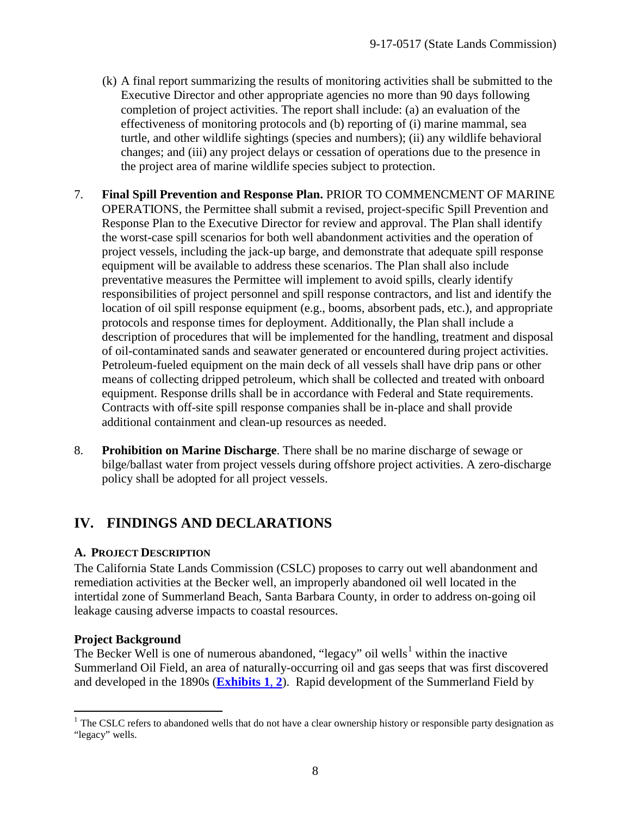- (k) A final report summarizing the results of monitoring activities shall be submitted to the Executive Director and other appropriate agencies no more than 90 days following completion of project activities. The report shall include: (a) an evaluation of the effectiveness of monitoring protocols and (b) reporting of (i) marine mammal, sea turtle, and other wildlife sightings (species and numbers); (ii) any wildlife behavioral changes; and (iii) any project delays or cessation of operations due to the presence in the project area of marine wildlife species subject to protection.
- <span id="page-7-0"></span>7. **Final Spill Prevention and Response Plan.** PRIOR TO COMMENCMENT OF MARINE OPERATIONS, the Permittee shall submit a revised, project-specific Spill Prevention and Response Plan to the Executive Director for review and approval. The Plan shall identify the worst-case spill scenarios for both well abandonment activities and the operation of project vessels, including the jack-up barge, and demonstrate that adequate spill response equipment will be available to address these scenarios. The Plan shall also include preventative measures the Permittee will implement to avoid spills, clearly identify responsibilities of project personnel and spill response contractors, and list and identify the location of oil spill response equipment (e.g., booms, absorbent pads, etc.), and appropriate protocols and response times for deployment. Additionally, the Plan shall include a description of procedures that will be implemented for the handling, treatment and disposal of oil-contaminated sands and seawater generated or encountered during project activities. Petroleum-fueled equipment on the main deck of all vessels shall have drip pans or other means of collecting dripped petroleum, which shall be collected and treated with onboard equipment. Response drills shall be in accordance with Federal and State requirements. Contracts with off-site spill response companies shall be in-place and shall provide additional containment and clean-up resources as needed.
- <span id="page-7-1"></span>8. **Prohibition on Marine Discharge**. There shall be no marine discharge of sewage or bilge/ballast water from project vessels during offshore project activities. A zero-discharge policy shall be adopted for all project vessels.

## <span id="page-7-2"></span>**IV. FINDINGS AND DECLARATIONS**

## <span id="page-7-3"></span>**A. PROJECT DESCRIPTION**

The California State Lands Commission (CSLC) proposes to carry out well abandonment and remediation activities at the Becker well, an improperly abandoned oil well located in the intertidal zone of Summerland Beach, Santa Barbara County, in order to address on-going oil leakage causing adverse impacts to coastal resources.

## **Project Background**

The Becker Well is one of numerous abandoned, "legacy" oil wells<sup>[1](#page-7-4)</sup> within the inactive Summerland Oil Field, an area of naturally-occurring oil and gas seeps that was first discovered and developed in the 1890s (**[Exhibits](https://documents.coastal.ca.gov/reports/2017/9/w22a/w22a-9-2017-exhibits.pdf) 1**, **2**). Rapid development of the Summerland Field by

<span id="page-7-4"></span> $1$  The CSLC refers to abandoned wells that do not have a clear ownership history or responsible party designation as "legacy" wells.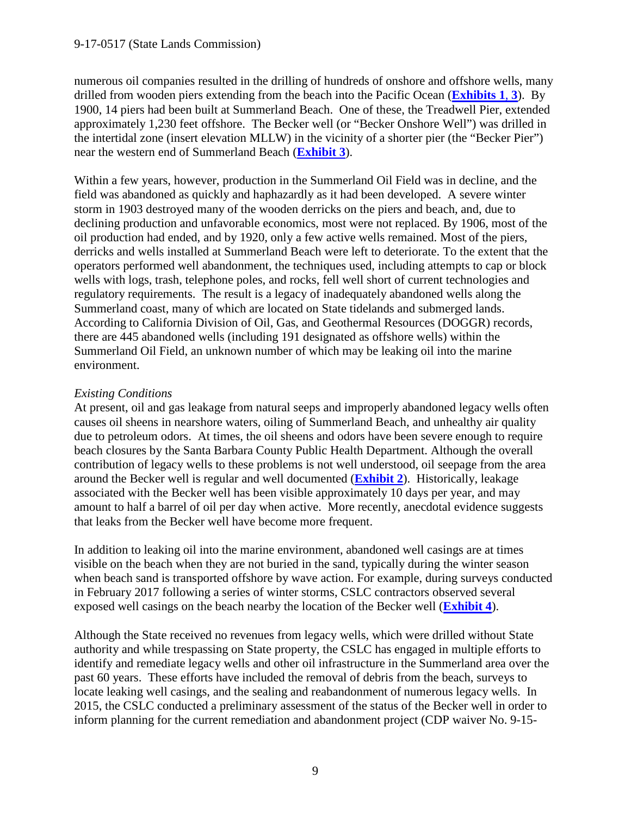numerous oil companies resulted in the drilling of hundreds of onshore and offshore wells, many drilled from wooden piers extending from the beach into the Pacific Ocean (**[Exhibits 1](https://documents.coastal.ca.gov/reports/2017/9/w22a/w22a-9-2017-exhibits.pdf)**, **3**). By 1900, 14 piers had been built at Summerland Beach. One of these, the Treadwell Pier, extended approximately 1,230 feet offshore. The Becker well (or "Becker Onshore Well") was drilled in the intertidal zone (insert elevation MLLW) in the vicinity of a shorter pier (the "Becker Pier") near the western end of Summerland Beach (**[Exhibit 3](https://documents.coastal.ca.gov/reports/2017/9/w22a/w22a-9-2017-exhibits.pdf)**).

Within a few years, however, production in the Summerland Oil Field was in decline, and the field was abandoned as quickly and haphazardly as it had been developed. A severe winter storm in 1903 destroyed many of the wooden derricks on the piers and beach, and, due to declining production and unfavorable economics, most were not replaced. By 1906, most of the oil production had ended, and by 1920, only a few active wells remained. Most of the piers, derricks and wells installed at Summerland Beach were left to deteriorate. To the extent that the operators performed well abandonment, the techniques used, including attempts to cap or block wells with logs, trash, telephone poles, and rocks, fell well short of current technologies and regulatory requirements. The result is a legacy of inadequately abandoned wells along the Summerland coast, many of which are located on State tidelands and submerged lands. According to California Division of Oil, Gas, and Geothermal Resources (DOGGR) records, there are 445 abandoned wells (including 191 designated as offshore wells) within the Summerland Oil Field, an unknown number of which may be leaking oil into the marine environment.

## *Existing Conditions*

At present, oil and gas leakage from natural seeps and improperly abandoned legacy wells often causes oil sheens in nearshore waters, oiling of Summerland Beach, and unhealthy air quality due to petroleum odors. At times, the oil sheens and odors have been severe enough to require beach closures by the Santa Barbara County Public Health Department. Although the overall contribution of legacy wells to these problems is not well understood, oil seepage from the area around the Becker well is regular and well documented (**[Exhibit 2](https://documents.coastal.ca.gov/reports/2017/9/w22a/w22a-9-2017-exhibits.pdf)**). Historically, leakage associated with the Becker well has been visible approximately 10 days per year, and may amount to half a barrel of oil per day when active. More recently, anecdotal evidence suggests that leaks from the Becker well have become more frequent.

In addition to leaking oil into the marine environment, abandoned well casings are at times visible on the beach when they are not buried in the sand, typically during the winter season when beach sand is transported offshore by wave action. For example, during surveys conducted in February 2017 following a series of winter storms, CSLC contractors observed several exposed well casings on the beach nearby the location of the Becker well (**[Exhibit 4](https://documents.coastal.ca.gov/reports/2017/9/w22a/w22a-9-2017-exhibits.pdf)**).

Although the State received no revenues from legacy wells, which were drilled without State authority and while trespassing on State property, the CSLC has engaged in multiple efforts to identify and remediate legacy wells and other oil infrastructure in the Summerland area over the past 60 years. These efforts have included the removal of debris from the beach, surveys to locate leaking well casings, and the sealing and reabandonment of numerous legacy wells. In 2015, the CSLC conducted a preliminary assessment of the status of the Becker well in order to inform planning for the current remediation and abandonment project (CDP waiver No. 9-15-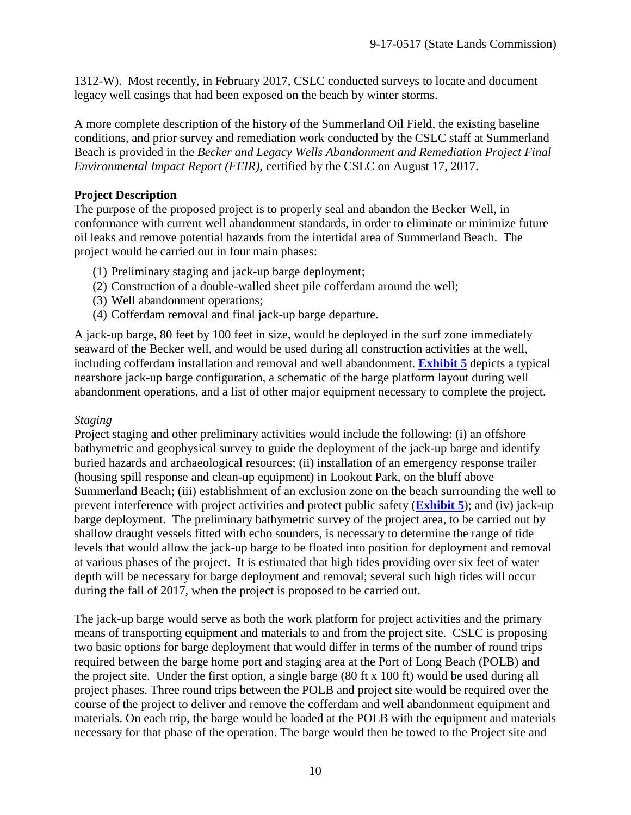1312-W). Most recently, in February 2017, CSLC conducted surveys to locate and document legacy well casings that had been exposed on the beach by winter storms.

A more complete description of the history of the Summerland Oil Field, the existing baseline conditions, and prior survey and remediation work conducted by the CSLC staff at Summerland Beach is provided in the *Becker and Legacy Wells Abandonment and Remediation Project Final Environmental Impact Report (FEIR)*, certified by the CSLC on August 17, 2017.

## **Project Description**

The purpose of the proposed project is to properly seal and abandon the Becker Well, in conformance with current well abandonment standards, in order to eliminate or minimize future oil leaks and remove potential hazards from the intertidal area of Summerland Beach. The project would be carried out in four main phases:

- (1) Preliminary staging and jack-up barge deployment;
- (2) Construction of a double-walled sheet pile cofferdam around the well;
- (3) Well abandonment operations;
- (4) Cofferdam removal and final jack-up barge departure.

A jack-up barge, 80 feet by 100 feet in size, would be deployed in the surf zone immediately seaward of the Becker well, and would be used during all construction activities at the well, including cofferdam installation and removal and well abandonment. **[Exhibit 5](https://documents.coastal.ca.gov/reports/2017/9/w22a/w22a-9-2017-exhibits.pdf)** depicts a typical nearshore jack-up barge configuration, a schematic of the barge platform layout during well abandonment operations, and a list of other major equipment necessary to complete the project.

#### *Staging*

Project staging and other preliminary activities would include the following: (i) an offshore bathymetric and geophysical survey to guide the deployment of the jack-up barge and identify buried hazards and archaeological resources; (ii) installation of an emergency response trailer (housing spill response and clean-up equipment) in Lookout Park, on the bluff above Summerland Beach; (iii) establishment of an exclusion zone on the beach surrounding the well to prevent interference with project activities and protect public safety (**[Exhibit 5](https://documents.coastal.ca.gov/reports/2017/9/w22a/w22a-9-2017-exhibits.pdf)**); and (iv) jack-up barge deployment. The preliminary bathymetric survey of the project area, to be carried out by shallow draught vessels fitted with echo sounders, is necessary to determine the range of tide levels that would allow the jack-up barge to be floated into position for deployment and removal at various phases of the project. It is estimated that high tides providing over six feet of water depth will be necessary for barge deployment and removal; several such high tides will occur during the fall of 2017, when the project is proposed to be carried out.

The jack-up barge would serve as both the work platform for project activities and the primary means of transporting equipment and materials to and from the project site. CSLC is proposing two basic options for barge deployment that would differ in terms of the number of round trips required between the barge home port and staging area at the Port of Long Beach (POLB) and the project site. Under the first option, a single barge (80 ft x 100 ft) would be used during all project phases. Three round trips between the POLB and project site would be required over the course of the project to deliver and remove the cofferdam and well abandonment equipment and materials. On each trip, the barge would be loaded at the POLB with the equipment and materials necessary for that phase of the operation. The barge would then be towed to the Project site and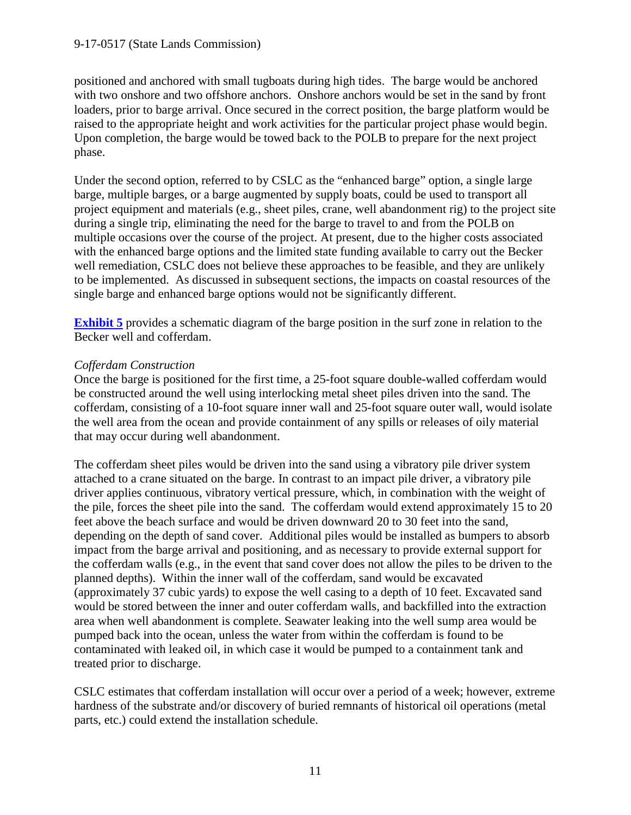positioned and anchored with small tugboats during high tides. The barge would be anchored with two onshore and two offshore anchors. Onshore anchors would be set in the sand by front loaders, prior to barge arrival. Once secured in the correct position, the barge platform would be raised to the appropriate height and work activities for the particular project phase would begin. Upon completion, the barge would be towed back to the POLB to prepare for the next project phase.

Under the second option, referred to by CSLC as the "enhanced barge" option, a single large barge, multiple barges, or a barge augmented by supply boats, could be used to transport all project equipment and materials (e.g., sheet piles, crane, well abandonment rig) to the project site during a single trip, eliminating the need for the barge to travel to and from the POLB on multiple occasions over the course of the project. At present, due to the higher costs associated with the enhanced barge options and the limited state funding available to carry out the Becker well remediation, CSLC does not believe these approaches to be feasible, and they are unlikely to be implemented. As discussed in subsequent sections, the impacts on coastal resources of the single barge and enhanced barge options would not be significantly different.

**[Exhibit 5](https://documents.coastal.ca.gov/reports/2017/9/w22a/w22a-9-2017-exhibits.pdf)** provides a schematic diagram of the barge position in the surf zone in relation to the Becker well and cofferdam.

## *Cofferdam Construction*

Once the barge is positioned for the first time, a 25-foot square double-walled cofferdam would be constructed around the well using interlocking metal sheet piles driven into the sand. The cofferdam, consisting of a 10-foot square inner wall and 25-foot square outer wall, would isolate the well area from the ocean and provide containment of any spills or releases of oily material that may occur during well abandonment.

The cofferdam sheet piles would be driven into the sand using a vibratory pile driver system attached to a crane situated on the barge. In contrast to an impact pile driver, a vibratory pile driver applies continuous, vibratory vertical pressure, which, in combination with the weight of the pile, forces the sheet pile into the sand. The cofferdam would extend approximately 15 to 20 feet above the beach surface and would be driven downward 20 to 30 feet into the sand, depending on the depth of sand cover. Additional piles would be installed as bumpers to absorb impact from the barge arrival and positioning, and as necessary to provide external support for the cofferdam walls (e.g., in the event that sand cover does not allow the piles to be driven to the planned depths). Within the inner wall of the cofferdam, sand would be excavated (approximately 37 cubic yards) to expose the well casing to a depth of 10 feet. Excavated sand would be stored between the inner and outer cofferdam walls, and backfilled into the extraction area when well abandonment is complete. Seawater leaking into the well sump area would be pumped back into the ocean, unless the water from within the cofferdam is found to be contaminated with leaked oil, in which case it would be pumped to a containment tank and treated prior to discharge.

CSLC estimates that cofferdam installation will occur over a period of a week; however, extreme hardness of the substrate and/or discovery of buried remnants of historical oil operations (metal parts, etc.) could extend the installation schedule.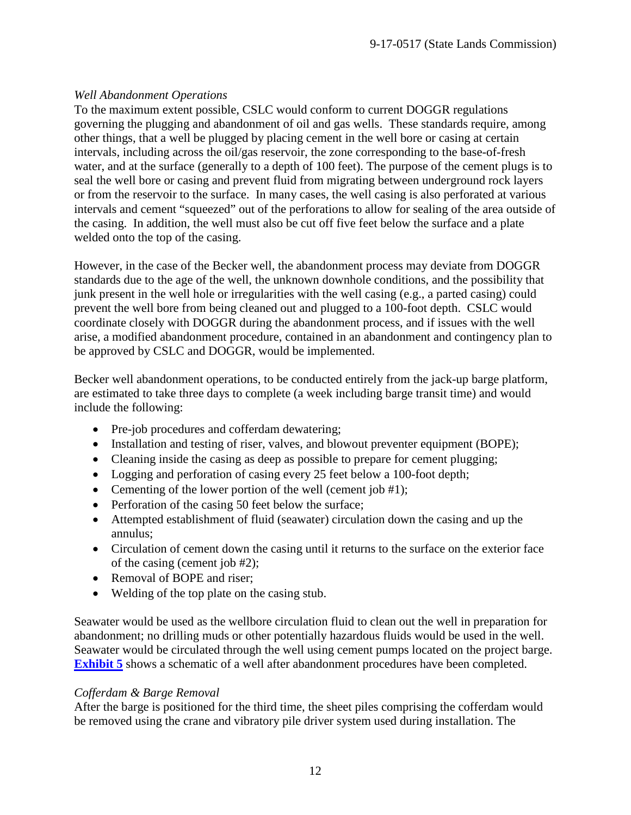## *Well Abandonment Operations*

To the maximum extent possible, CSLC would conform to current DOGGR regulations governing the plugging and abandonment of oil and gas wells. These standards require, among other things, that a well be plugged by placing cement in the well bore or casing at certain intervals, including across the oil/gas reservoir, the zone corresponding to the base-of-fresh water, and at the surface (generally to a depth of 100 feet). The purpose of the cement plugs is to seal the well bore or casing and prevent fluid from migrating between underground rock layers or from the reservoir to the surface. In many cases, the well casing is also perforated at various intervals and cement "squeezed" out of the perforations to allow for sealing of the area outside of the casing. In addition, the well must also be cut off five feet below the surface and a plate welded onto the top of the casing.

However, in the case of the Becker well, the abandonment process may deviate from DOGGR standards due to the age of the well, the unknown downhole conditions, and the possibility that junk present in the well hole or irregularities with the well casing (e.g., a parted casing) could prevent the well bore from being cleaned out and plugged to a 100-foot depth. CSLC would coordinate closely with DOGGR during the abandonment process, and if issues with the well arise, a modified abandonment procedure, contained in an abandonment and contingency plan to be approved by CSLC and DOGGR, would be implemented.

Becker well abandonment operations, to be conducted entirely from the jack-up barge platform, are estimated to take three days to complete (a week including barge transit time) and would include the following:

- Pre-job procedures and cofferdam dewatering;
- Installation and testing of riser, valves, and blowout preventer equipment (BOPE);
- Cleaning inside the casing as deep as possible to prepare for cement plugging;
- Logging and perforation of casing every 25 feet below a 100-foot depth;
- Cementing of the lower portion of the well (cement job  $#1$ );
- Perforation of the casing 50 feet below the surface;
- Attempted establishment of fluid (seawater) circulation down the casing and up the annulus;
- Circulation of cement down the casing until it returns to the surface on the exterior face of the casing (cement job #2);
- Removal of BOPE and riser;
- Welding of the top plate on the casing stub.

Seawater would be used as the wellbore circulation fluid to clean out the well in preparation for abandonment; no drilling muds or other potentially hazardous fluids would be used in the well. Seawater would be circulated through the well using cement pumps located on the project barge. **[Exhibit 5](https://documents.coastal.ca.gov/reports/2017/9/w22a/w22a-9-2017-exhibits.pdf)** shows a schematic of a well after abandonment procedures have been completed.

## *Cofferdam & Barge Removal*

After the barge is positioned for the third time, the sheet piles comprising the cofferdam would be removed using the crane and vibratory pile driver system used during installation. The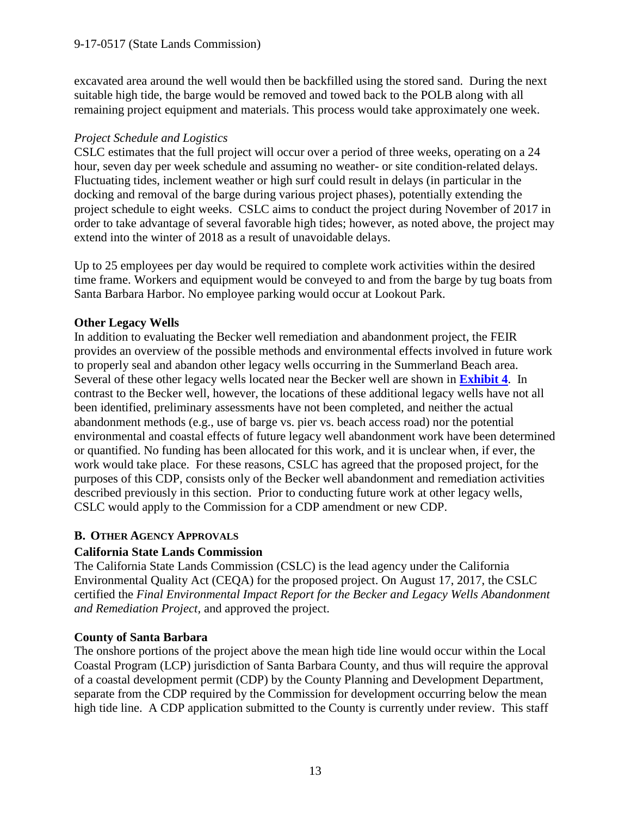excavated area around the well would then be backfilled using the stored sand. During the next suitable high tide, the barge would be removed and towed back to the POLB along with all remaining project equipment and materials. This process would take approximately one week.

#### *Project Schedule and Logistics*

CSLC estimates that the full project will occur over a period of three weeks, operating on a 24 hour, seven day per week schedule and assuming no weather- or site condition-related delays. Fluctuating tides, inclement weather or high surf could result in delays (in particular in the docking and removal of the barge during various project phases), potentially extending the project schedule to eight weeks. CSLC aims to conduct the project during November of 2017 in order to take advantage of several favorable high tides; however, as noted above, the project may extend into the winter of 2018 as a result of unavoidable delays.

Up to 25 employees per day would be required to complete work activities within the desired time frame. Workers and equipment would be conveyed to and from the barge by tug boats from Santa Barbara Harbor. No employee parking would occur at Lookout Park.

## **Other Legacy Wells**

In addition to evaluating the Becker well remediation and abandonment project, the FEIR provides an overview of the possible methods and environmental effects involved in future work to properly seal and abandon other legacy wells occurring in the Summerland Beach area. Several of these other legacy wells located near the Becker well are shown in **[Exhibit 4](https://documents.coastal.ca.gov/reports/2017/9/w22a/w22a-9-2017-exhibits.pdf)**. In contrast to the Becker well, however, the locations of these additional legacy wells have not all been identified, preliminary assessments have not been completed, and neither the actual abandonment methods (e.g., use of barge vs. pier vs. beach access road) nor the potential environmental and coastal effects of future legacy well abandonment work have been determined or quantified. No funding has been allocated for this work, and it is unclear when, if ever, the work would take place. For these reasons, CSLC has agreed that the proposed project, for the purposes of this CDP, consists only of the Becker well abandonment and remediation activities described previously in this section. Prior to conducting future work at other legacy wells, CSLC would apply to the Commission for a CDP amendment or new CDP.

## <span id="page-12-0"></span>**B. OTHER AGENCY APPROVALS**

## **California State Lands Commission**

The California State Lands Commission (CSLC) is the lead agency under the California Environmental Quality Act (CEQA) for the proposed project. On August 17, 2017, the CSLC certified the *Final Environmental Impact Report for the Becker and Legacy Wells Abandonment and Remediation Project,* and approved the project.

## **County of Santa Barbara**

The onshore portions of the project above the mean high tide line would occur within the Local Coastal Program (LCP) jurisdiction of Santa Barbara County, and thus will require the approval of a coastal development permit (CDP) by the County Planning and Development Department, separate from the CDP required by the Commission for development occurring below the mean high tide line. A CDP application submitted to the County is currently under review. This staff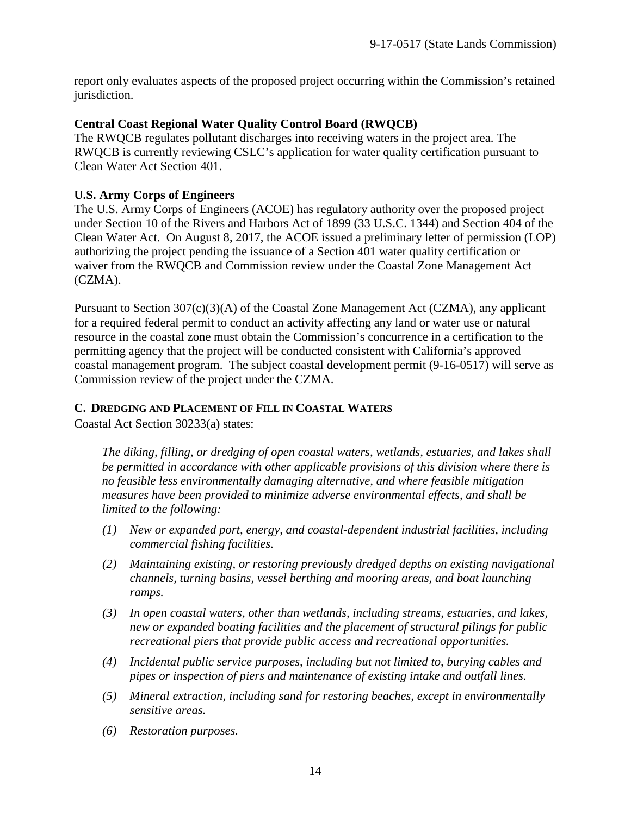report only evaluates aspects of the proposed project occurring within the Commission's retained jurisdiction.

#### **Central Coast Regional Water Quality Control Board (RWQCB)**

The RWQCB regulates pollutant discharges into receiving waters in the project area. The RWQCB is currently reviewing CSLC's application for water quality certification pursuant to Clean Water Act Section 401.

#### **U.S. Army Corps of Engineers**

The U.S. Army Corps of Engineers (ACOE) has regulatory authority over the proposed project under Section 10 of the Rivers and Harbors Act of 1899 (33 U.S.C. 1344) and Section 404 of the Clean Water Act. On August 8, 2017, the ACOE issued a preliminary letter of permission (LOP) authorizing the project pending the issuance of a Section 401 water quality certification or waiver from the RWQCB and Commission review under the Coastal Zone Management Act (CZMA).

Pursuant to Section 307(c)(3)(A) of the Coastal Zone Management Act (CZMA), any applicant for a required federal permit to conduct an activity affecting any land or water use or natural resource in the coastal zone must obtain the Commission's concurrence in a certification to the permitting agency that the project will be conducted consistent with California's approved coastal management program. The subject coastal development permit (9-16-0517) will serve as Commission review of the project under the CZMA.

#### <span id="page-13-0"></span>**C. DREDGING AND PLACEMENT OF FILL IN COASTAL WATERS**

Coastal Act Section 30233(a) states:

*The diking, filling, or dredging of open coastal waters, wetlands, estuaries, and lakes shall be permitted in accordance with other applicable provisions of this division where there is no feasible less environmentally damaging alternative, and where feasible mitigation measures have been provided to minimize adverse environmental effects, and shall be limited to the following:*

- *(1) New or expanded port, energy, and coastal-dependent industrial facilities, including commercial fishing facilities.*
- *(2) Maintaining existing, or restoring previously dredged depths on existing navigational channels, turning basins, vessel berthing and mooring areas, and boat launching ramps.*
- *(3) In open coastal waters, other than wetlands, including streams, estuaries, and lakes, new or expanded boating facilities and the placement of structural pilings for public recreational piers that provide public access and recreational opportunities.*
- *(4) Incidental public service purposes, including but not limited to, burying cables and pipes or inspection of piers and maintenance of existing intake and outfall lines.*
- *(5) Mineral extraction, including sand for restoring beaches, except in environmentally sensitive areas.*
- *(6) Restoration purposes.*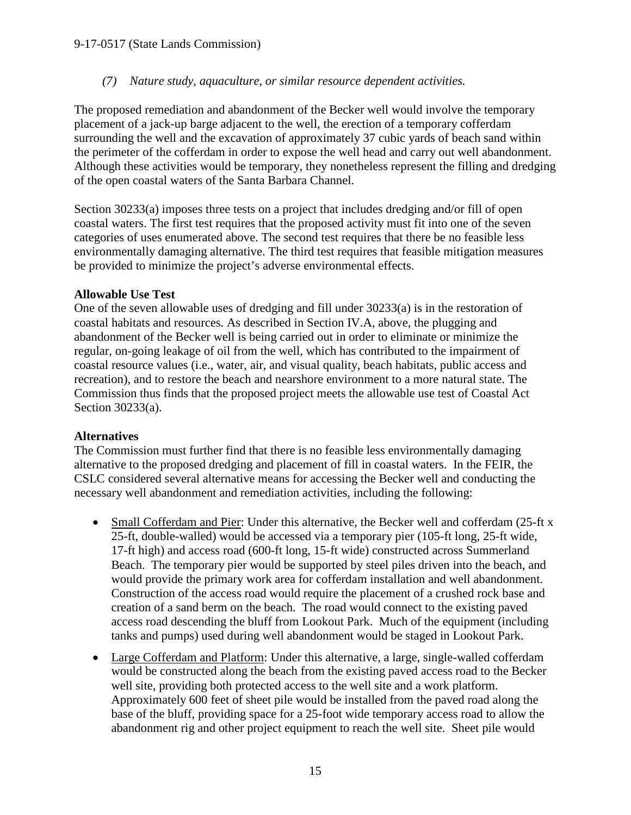#### *(7) Nature study, aquaculture, or similar resource dependent activities.*

The proposed remediation and abandonment of the Becker well would involve the temporary placement of a jack-up barge adjacent to the well, the erection of a temporary cofferdam surrounding the well and the excavation of approximately 37 cubic yards of beach sand within the perimeter of the cofferdam in order to expose the well head and carry out well abandonment. Although these activities would be temporary, they nonetheless represent the filling and dredging of the open coastal waters of the Santa Barbara Channel.

Section 30233(a) imposes three tests on a project that includes dredging and/or fill of open coastal waters. The first test requires that the proposed activity must fit into one of the seven categories of uses enumerated above. The second test requires that there be no feasible less environmentally damaging alternative. The third test requires that feasible mitigation measures be provided to minimize the project's adverse environmental effects.

#### **Allowable Use Test**

One of the seven allowable uses of dredging and fill under 30233(a) is in the restoration of coastal habitats and resources. As described in Section IV.A, above, the plugging and abandonment of the Becker well is being carried out in order to eliminate or minimize the regular, on-going leakage of oil from the well, which has contributed to the impairment of coastal resource values (i.e., water, air, and visual quality, beach habitats, public access and recreation), and to restore the beach and nearshore environment to a more natural state. The Commission thus finds that the proposed project meets the allowable use test of Coastal Act Section 30233(a).

## **Alternatives**

The Commission must further find that there is no feasible less environmentally damaging alternative to the proposed dredging and placement of fill in coastal waters. In the FEIR, the CSLC considered several alternative means for accessing the Becker well and conducting the necessary well abandonment and remediation activities, including the following:

- Small Cofferdam and Pier: Under this alternative, the Becker well and cofferdam (25-ft x 25-ft, double-walled) would be accessed via a temporary pier (105-ft long, 25-ft wide, 17-ft high) and access road (600-ft long, 15-ft wide) constructed across Summerland Beach. The temporary pier would be supported by steel piles driven into the beach, and would provide the primary work area for cofferdam installation and well abandonment. Construction of the access road would require the placement of a crushed rock base and creation of a sand berm on the beach. The road would connect to the existing paved access road descending the bluff from Lookout Park. Much of the equipment (including tanks and pumps) used during well abandonment would be staged in Lookout Park.
- Large Cofferdam and Platform: Under this alternative, a large, single-walled cofferdam would be constructed along the beach from the existing paved access road to the Becker well site, providing both protected access to the well site and a work platform. Approximately 600 feet of sheet pile would be installed from the paved road along the base of the bluff, providing space for a 25-foot wide temporary access road to allow the abandonment rig and other project equipment to reach the well site. Sheet pile would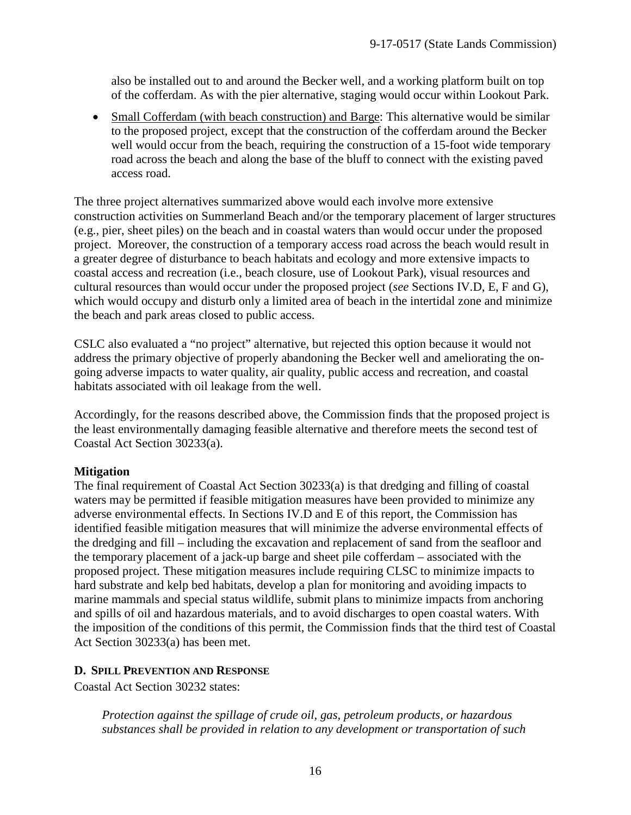also be installed out to and around the Becker well, and a working platform built on top of the cofferdam. As with the pier alternative, staging would occur within Lookout Park.

• Small Cofferdam (with beach construction) and Barge: This alternative would be similar to the proposed project, except that the construction of the cofferdam around the Becker well would occur from the beach, requiring the construction of a 15-foot wide temporary road across the beach and along the base of the bluff to connect with the existing paved access road.

The three project alternatives summarized above would each involve more extensive construction activities on Summerland Beach and/or the temporary placement of larger structures (e.g., pier, sheet piles) on the beach and in coastal waters than would occur under the proposed project. Moreover, the construction of a temporary access road across the beach would result in a greater degree of disturbance to beach habitats and ecology and more extensive impacts to coastal access and recreation (i.e., beach closure, use of Lookout Park), visual resources and cultural resources than would occur under the proposed project (*see* Sections IV.D, E, F and G), which would occupy and disturb only a limited area of beach in the intertidal zone and minimize the beach and park areas closed to public access.

CSLC also evaluated a "no project" alternative, but rejected this option because it would not address the primary objective of properly abandoning the Becker well and ameliorating the ongoing adverse impacts to water quality, air quality, public access and recreation, and coastal habitats associated with oil leakage from the well.

Accordingly, for the reasons described above, the Commission finds that the proposed project is the least environmentally damaging feasible alternative and therefore meets the second test of Coastal Act Section 30233(a).

## **Mitigation**

The final requirement of Coastal Act Section 30233(a) is that dredging and filling of coastal waters may be permitted if feasible mitigation measures have been provided to minimize any adverse environmental effects. In Sections IV.D and E of this report, the Commission has identified feasible mitigation measures that will minimize the adverse environmental effects of the dredging and fill – including the excavation and replacement of sand from the seafloor and the temporary placement of a jack-up barge and sheet pile cofferdam – associated with the proposed project. These mitigation measures include requiring CLSC to minimize impacts to hard substrate and kelp bed habitats, develop a plan for monitoring and avoiding impacts to marine mammals and special status wildlife, submit plans to minimize impacts from anchoring and spills of oil and hazardous materials, and to avoid discharges to open coastal waters. With the imposition of the conditions of this permit, the Commission finds that the third test of Coastal Act Section 30233(a) has been met.

#### <span id="page-15-0"></span>**D. SPILL PREVENTION AND RESPONSE**

Coastal Act Section 30232 states:

*Protection against the spillage of crude oil, gas, petroleum products, or hazardous substances shall be provided in relation to any development or transportation of such*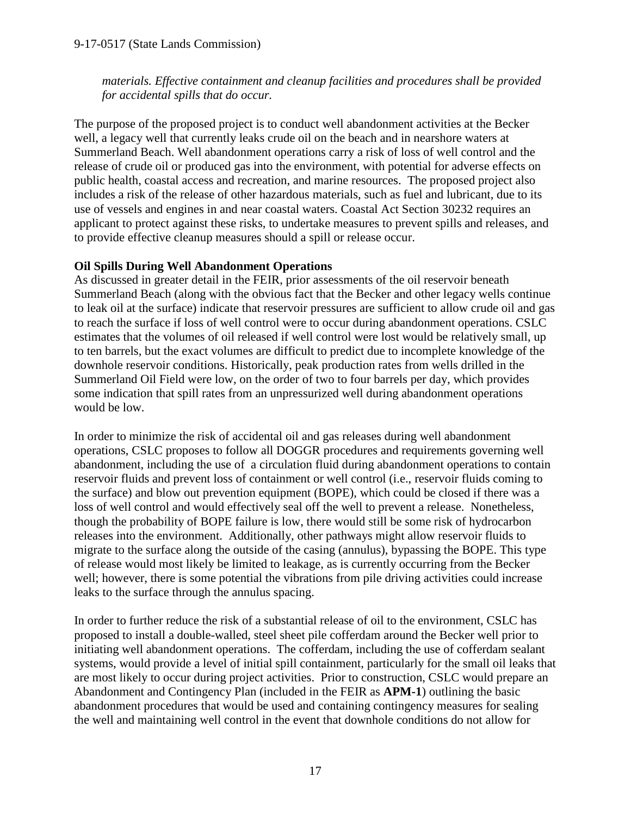*materials. Effective containment and cleanup facilities and procedures shall be provided for accidental spills that do occur.*

The purpose of the proposed project is to conduct well abandonment activities at the Becker well, a legacy well that currently leaks crude oil on the beach and in nearshore waters at Summerland Beach. Well abandonment operations carry a risk of loss of well control and the release of crude oil or produced gas into the environment, with potential for adverse effects on public health, coastal access and recreation, and marine resources. The proposed project also includes a risk of the release of other hazardous materials, such as fuel and lubricant, due to its use of vessels and engines in and near coastal waters. Coastal Act Section 30232 requires an applicant to protect against these risks, to undertake measures to prevent spills and releases, and to provide effective cleanup measures should a spill or release occur.

## **Oil Spills During Well Abandonment Operations**

As discussed in greater detail in the FEIR, prior assessments of the oil reservoir beneath Summerland Beach (along with the obvious fact that the Becker and other legacy wells continue to leak oil at the surface) indicate that reservoir pressures are sufficient to allow crude oil and gas to reach the surface if loss of well control were to occur during abandonment operations. CSLC estimates that the volumes of oil released if well control were lost would be relatively small, up to ten barrels, but the exact volumes are difficult to predict due to incomplete knowledge of the downhole reservoir conditions. Historically, peak production rates from wells drilled in the Summerland Oil Field were low, on the order of two to four barrels per day, which provides some indication that spill rates from an unpressurized well during abandonment operations would be low.

In order to minimize the risk of accidental oil and gas releases during well abandonment operations, CSLC proposes to follow all DOGGR procedures and requirements governing well abandonment, including the use of a circulation fluid during abandonment operations to contain reservoir fluids and prevent loss of containment or well control (i.e., reservoir fluids coming to the surface) and blow out prevention equipment (BOPE), which could be closed if there was a loss of well control and would effectively seal off the well to prevent a release. Nonetheless, though the probability of BOPE failure is low, there would still be some risk of hydrocarbon releases into the environment. Additionally, other pathways might allow reservoir fluids to migrate to the surface along the outside of the casing (annulus), bypassing the BOPE. This type of release would most likely be limited to leakage, as is currently occurring from the Becker well; however, there is some potential the vibrations from pile driving activities could increase leaks to the surface through the annulus spacing.

In order to further reduce the risk of a substantial release of oil to the environment, CSLC has proposed to install a double-walled, steel sheet pile cofferdam around the Becker well prior to initiating well abandonment operations. The cofferdam, including the use of cofferdam sealant systems, would provide a level of initial spill containment, particularly for the small oil leaks that are most likely to occur during project activities. Prior to construction, CSLC would prepare an Abandonment and Contingency Plan (included in the FEIR as **APM-1**) outlining the basic abandonment procedures that would be used and containing contingency measures for sealing the well and maintaining well control in the event that downhole conditions do not allow for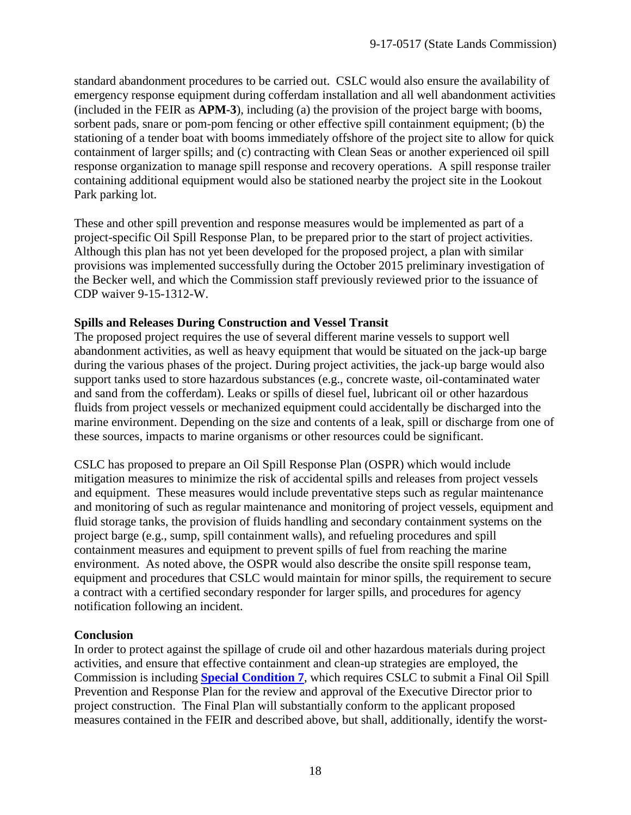standard abandonment procedures to be carried out. CSLC would also ensure the availability of emergency response equipment during cofferdam installation and all well abandonment activities (included in the FEIR as **APM-3**), including (a) the provision of the project barge with booms, sorbent pads, snare or pom-pom fencing or other effective spill containment equipment; (b) the stationing of a tender boat with booms immediately offshore of the project site to allow for quick containment of larger spills; and (c) contracting with Clean Seas or another experienced oil spill response organization to manage spill response and recovery operations. A spill response trailer containing additional equipment would also be stationed nearby the project site in the Lookout Park parking lot.

These and other spill prevention and response measures would be implemented as part of a project-specific Oil Spill Response Plan, to be prepared prior to the start of project activities. Although this plan has not yet been developed for the proposed project, a plan with similar provisions was implemented successfully during the October 2015 preliminary investigation of the Becker well, and which the Commission staff previously reviewed prior to the issuance of CDP waiver 9-15-1312-W.

#### **Spills and Releases During Construction and Vessel Transit**

The proposed project requires the use of several different marine vessels to support well abandonment activities, as well as heavy equipment that would be situated on the jack-up barge during the various phases of the project. During project activities, the jack-up barge would also support tanks used to store hazardous substances (e.g., concrete waste, oil-contaminated water and sand from the cofferdam). Leaks or spills of diesel fuel, lubricant oil or other hazardous fluids from project vessels or mechanized equipment could accidentally be discharged into the marine environment. Depending on the size and contents of a leak, spill or discharge from one of these sources, impacts to marine organisms or other resources could be significant.

CSLC has proposed to prepare an Oil Spill Response Plan (OSPR) which would include mitigation measures to minimize the risk of accidental spills and releases from project vessels and equipment. These measures would include preventative steps such as regular maintenance and monitoring of such as regular maintenance and monitoring of project vessels, equipment and fluid storage tanks, the provision of fluids handling and secondary containment systems on the project barge (e.g., sump, spill containment walls), and refueling procedures and spill containment measures and equipment to prevent spills of fuel from reaching the marine environment. As noted above, the OSPR would also describe the onsite spill response team, equipment and procedures that CSLC would maintain for minor spills, the requirement to secure a contract with a certified secondary responder for larger spills, and procedures for agency notification following an incident.

## **Conclusion**

In order to protect against the spillage of crude oil and other hazardous materials during project activities, and ensure that effective containment and clean-up strategies are employed, the Commission is including **[Special Condition 7](#page-7-0)**, which requires CSLC to submit a Final Oil Spill Prevention and Response Plan for the review and approval of the Executive Director prior to project construction. The Final Plan will substantially conform to the applicant proposed measures contained in the FEIR and described above, but shall, additionally, identify the worst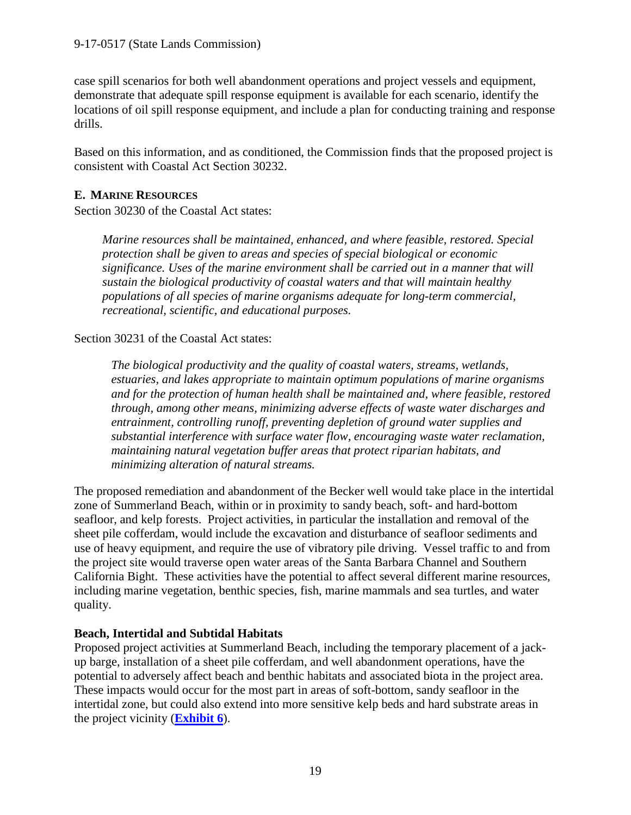case spill scenarios for both well abandonment operations and project vessels and equipment, demonstrate that adequate spill response equipment is available for each scenario, identify the locations of oil spill response equipment, and include a plan for conducting training and response drills.

Based on this information, and as conditioned, the Commission finds that the proposed project is consistent with Coastal Act Section 30232.

## <span id="page-18-0"></span>**E. MARINE RESOURCES**

Section 30230 of the Coastal Act states:

*Marine resources shall be maintained, enhanced, and where feasible, restored. Special protection shall be given to areas and species of special biological or economic significance. Uses of the marine environment shall be carried out in a manner that will sustain the biological productivity of coastal waters and that will maintain healthy populations of all species of marine organisms adequate for long-term commercial, recreational, scientific, and educational purposes.*

Section 30231 of the Coastal Act states:

*The biological productivity and the quality of coastal waters, streams, wetlands, estuaries, and lakes appropriate to maintain optimum populations of marine organisms and for the protection of human health shall be maintained and, where feasible, restored through, among other means, minimizing adverse effects of waste water discharges and entrainment, controlling runoff, preventing depletion of ground water supplies and substantial interference with surface water flow, encouraging waste water reclamation, maintaining natural vegetation buffer areas that protect riparian habitats, and minimizing alteration of natural streams.*

The proposed remediation and abandonment of the Becker well would take place in the intertidal zone of Summerland Beach, within or in proximity to sandy beach, soft- and hard-bottom seafloor, and kelp forests. Project activities, in particular the installation and removal of the sheet pile cofferdam, would include the excavation and disturbance of seafloor sediments and use of heavy equipment, and require the use of vibratory pile driving. Vessel traffic to and from the project site would traverse open water areas of the Santa Barbara Channel and Southern California Bight. These activities have the potential to affect several different marine resources, including marine vegetation, benthic species, fish, marine mammals and sea turtles, and water quality.

## **Beach, Intertidal and Subtidal Habitats**

Proposed project activities at Summerland Beach, including the temporary placement of a jackup barge, installation of a sheet pile cofferdam, and well abandonment operations, have the potential to adversely affect beach and benthic habitats and associated biota in the project area. These impacts would occur for the most part in areas of soft-bottom, sandy seafloor in the intertidal zone, but could also extend into more sensitive kelp beds and hard substrate areas in the project vicinity (**[Exhibit 6](https://documents.coastal.ca.gov/reports/2017/9/w22a/w22a-9-2017-exhibits.pdf)**).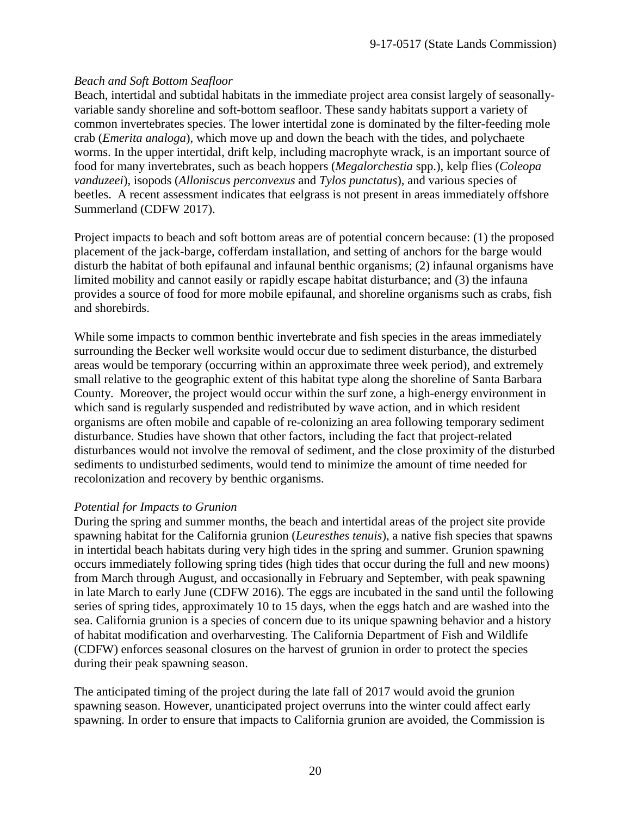## *Beach and Soft Bottom Seafloor*

Beach, intertidal and subtidal habitats in the immediate project area consist largely of seasonallyvariable sandy shoreline and soft-bottom seafloor. These sandy habitats support a variety of common invertebrates species. The lower intertidal zone is dominated by the filter-feeding mole crab (*Emerita analoga*), which move up and down the beach with the tides, and polychaete worms. In the upper intertidal, drift kelp, including macrophyte wrack, is an important source of food for many invertebrates, such as beach hoppers (*Megalorchestia* spp.), kelp flies (*Coleopa vanduzeei*), isopods (*Alloniscus perconvexus* and *Tylos punctatus*), and various species of beetles. A recent assessment indicates that eelgrass is not present in areas immediately offshore Summerland (CDFW 2017).

Project impacts to beach and soft bottom areas are of potential concern because: (1) the proposed placement of the jack-barge, cofferdam installation, and setting of anchors for the barge would disturb the habitat of both epifaunal and infaunal benthic organisms; (2) infaunal organisms have limited mobility and cannot easily or rapidly escape habitat disturbance; and (3) the infauna provides a source of food for more mobile epifaunal, and shoreline organisms such as crabs, fish and shorebirds.

While some impacts to common benthic invertebrate and fish species in the areas immediately surrounding the Becker well worksite would occur due to sediment disturbance, the disturbed areas would be temporary (occurring within an approximate three week period), and extremely small relative to the geographic extent of this habitat type along the shoreline of Santa Barbara County. Moreover, the project would occur within the surf zone, a high-energy environment in which sand is regularly suspended and redistributed by wave action, and in which resident organisms are often mobile and capable of re-colonizing an area following temporary sediment disturbance. Studies have shown that other factors, including the fact that project-related disturbances would not involve the removal of sediment, and the close proximity of the disturbed sediments to undisturbed sediments, would tend to minimize the amount of time needed for recolonization and recovery by benthic organisms.

## *Potential for Impacts to Grunion*

During the spring and summer months, the beach and intertidal areas of the project site provide spawning habitat for the California grunion (*Leuresthes tenuis*), a native fish species that spawns in intertidal beach habitats during very high tides in the spring and summer. Grunion spawning occurs immediately following spring tides (high tides that occur during the full and new moons) from March through August, and occasionally in February and September, with peak spawning in late March to early June (CDFW 2016). The eggs are incubated in the sand until the following series of spring tides, approximately 10 to 15 days, when the eggs hatch and are washed into the sea. California grunion is a species of concern due to its unique spawning behavior and a history of habitat modification and overharvesting. The California Department of Fish and Wildlife (CDFW) enforces seasonal closures on the harvest of grunion in order to protect the species during their peak spawning season.

The anticipated timing of the project during the late fall of 2017 would avoid the grunion spawning season. However, unanticipated project overruns into the winter could affect early spawning. In order to ensure that impacts to California grunion are avoided, the Commission is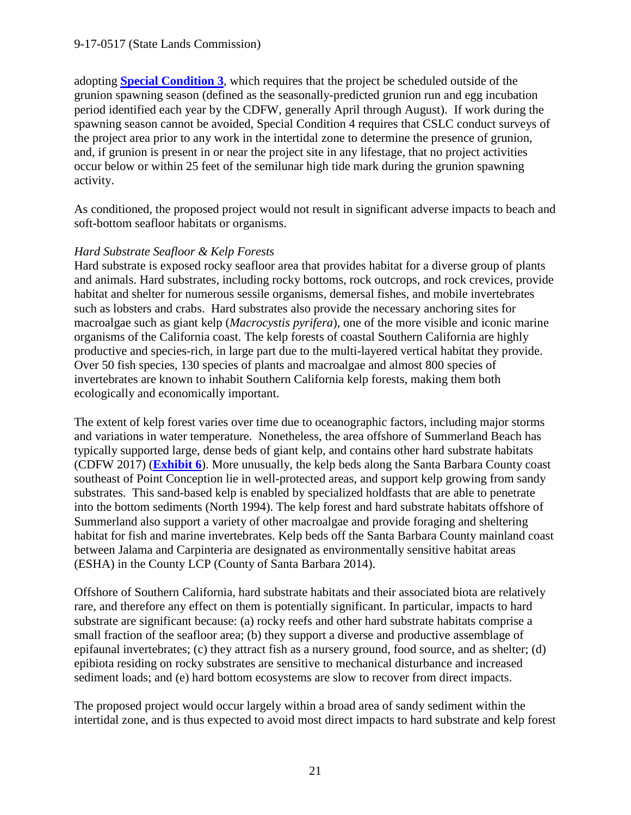adopting **[Special Condition 3](#page-4-1)**, which requires that the project be scheduled outside of the grunion spawning season (defined as the seasonally-predicted grunion run and egg incubation period identified each year by the CDFW, generally April through August). If work during the spawning season cannot be avoided, Special Condition 4 requires that CSLC conduct surveys of the project area prior to any work in the intertidal zone to determine the presence of grunion, and, if grunion is present in or near the project site in any lifestage, that no project activities occur below or within 25 feet of the semilunar high tide mark during the grunion spawning activity.

As conditioned, the proposed project would not result in significant adverse impacts to beach and soft-bottom seafloor habitats or organisms.

#### *Hard Substrate Seafloor & Kelp Forests*

Hard substrate is exposed rocky seafloor area that provides habitat for a diverse group of plants and animals. Hard substrates, including rocky bottoms, rock outcrops, and rock crevices, provide habitat and shelter for numerous sessile organisms, demersal fishes, and mobile invertebrates such as lobsters and crabs. Hard substrates also provide the necessary anchoring sites for macroalgae such as giant kelp (*Macrocystis pyrifera*), one of the more visible and iconic marine organisms of the California coast. The kelp forests of coastal Southern California are highly productive and species-rich, in large part due to the multi-layered vertical habitat they provide. Over 50 fish species, 130 species of plants and macroalgae and almost 800 species of invertebrates are known to inhabit Southern California kelp forests, making them both ecologically and economically important.

The extent of kelp forest varies over time due to oceanographic factors, including major storms and variations in water temperature. Nonetheless, the area offshore of Summerland Beach has typically supported large, dense beds of giant kelp, and contains other hard substrate habitats (CDFW 2017) (**[Exhibit 6](https://documents.coastal.ca.gov/reports/2017/9/w22a/w22a-9-2017-exhibits.pdf)**). More unusually, the kelp beds along the Santa Barbara County coast southeast of Point Conception lie in well-protected areas, and support kelp growing from sandy substrates. This sand-based kelp is enabled by specialized holdfasts that are able to penetrate into the bottom sediments (North 1994). The kelp forest and hard substrate habitats offshore of Summerland also support a variety of other macroalgae and provide foraging and sheltering habitat for fish and marine invertebrates. Kelp beds off the Santa Barbara County mainland coast between Jalama and Carpinteria are designated as environmentally sensitive habitat areas (ESHA) in the County LCP (County of Santa Barbara 2014).

Offshore of Southern California, hard substrate habitats and their associated biota are relatively rare, and therefore any effect on them is potentially significant. In particular, impacts to hard substrate are significant because: (a) rocky reefs and other hard substrate habitats comprise a small fraction of the seafloor area; (b) they support a diverse and productive assemblage of epifaunal invertebrates; (c) they attract fish as a nursery ground, food source, and as shelter; (d) epibiota residing on rocky substrates are sensitive to mechanical disturbance and increased sediment loads; and (e) hard bottom ecosystems are slow to recover from direct impacts.

The proposed project would occur largely within a broad area of sandy sediment within the intertidal zone, and is thus expected to avoid most direct impacts to hard substrate and kelp forest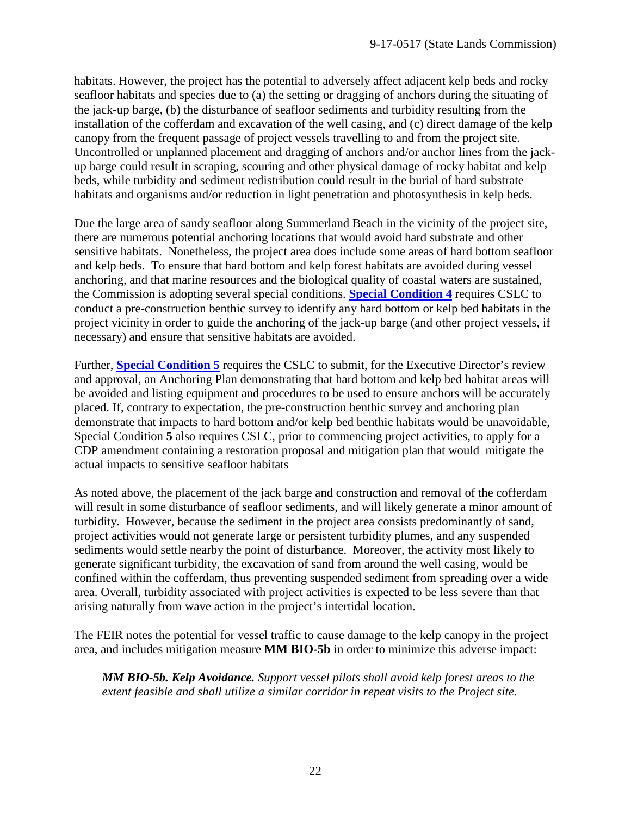habitats. However, the project has the potential to adversely affect adjacent kelp beds and rocky seafloor habitats and species due to (a) the setting or dragging of anchors during the situating of the jack-up barge, (b) the disturbance of seafloor sediments and turbidity resulting from the installation of the cofferdam and excavation of the well casing, and (c) direct damage of the kelp canopy from the frequent passage of project vessels travelling to and from the project site. Uncontrolled or unplanned placement and dragging of anchors and/or anchor lines from the jackup barge could result in scraping, scouring and other physical damage of rocky habitat and kelp beds, while turbidity and sediment redistribution could result in the burial of hard substrate habitats and organisms and/or reduction in light penetration and photosynthesis in kelp beds.

Due the large area of sandy seafloor along Summerland Beach in the vicinity of the project site, there are numerous potential anchoring locations that would avoid hard substrate and other sensitive habitats. Nonetheless, the project area does include some areas of hard bottom seafloor and kelp beds. To ensure that hard bottom and kelp forest habitats are avoided during vessel anchoring, and that marine resources and the biological quality of coastal waters are sustained, the Commission is adopting several special conditions. **[Special Condition 4](#page-5-0)** requires CSLC to conduct a pre-construction benthic survey to identify any hard bottom or kelp bed habitats in the project vicinity in order to guide the anchoring of the jack-up barge (and other project vessels, if necessary) and ensure that sensitive habitats are avoided.

Further, **[Special Condition 5](#page-5-1)** requires the CSLC to submit, for the Executive Director's review and approval, an Anchoring Plan demonstrating that hard bottom and kelp bed habitat areas will be avoided and listing equipment and procedures to be used to ensure anchors will be accurately placed. If, contrary to expectation, the pre-construction benthic survey and anchoring plan demonstrate that impacts to hard bottom and/or kelp bed benthic habitats would be unavoidable, Special Condition **5** also requires CSLC, prior to commencing project activities, to apply for a CDP amendment containing a restoration proposal and mitigation plan that would mitigate the actual impacts to sensitive seafloor habitats

As noted above, the placement of the jack barge and construction and removal of the cofferdam will result in some disturbance of seafloor sediments, and will likely generate a minor amount of turbidity. However, because the sediment in the project area consists predominantly of sand, project activities would not generate large or persistent turbidity plumes, and any suspended sediments would settle nearby the point of disturbance. Moreover, the activity most likely to generate significant turbidity, the excavation of sand from around the well casing, would be confined within the cofferdam, thus preventing suspended sediment from spreading over a wide area. Overall, turbidity associated with project activities is expected to be less severe than that arising naturally from wave action in the project's intertidal location.

The FEIR notes the potential for vessel traffic to cause damage to the kelp canopy in the project area, and includes mitigation measure **MM BIO-5b** in order to minimize this adverse impact:

*MM BIO-5b. Kelp Avoidance. Support vessel pilots shall avoid kelp forest areas to the extent feasible and shall utilize a similar corridor in repeat visits to the Project site.*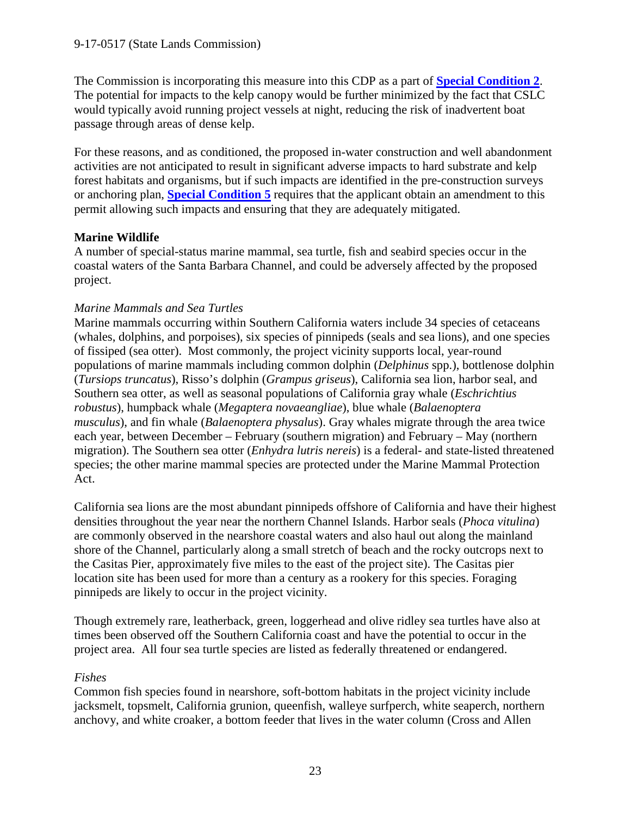The Commission is incorporating this measure into this CDP as a part of **[Special Condition 2](#page-4-0)**. The potential for impacts to the kelp canopy would be further minimized by the fact that CSLC would typically avoid running project vessels at night, reducing the risk of inadvertent boat passage through areas of dense kelp.

For these reasons, and as conditioned, the proposed in-water construction and well abandonment activities are not anticipated to result in significant adverse impacts to hard substrate and kelp forest habitats and organisms, but if such impacts are identified in the pre-construction surveys or anchoring plan, **[Special Condition](#page-5-1) 5** requires that the applicant obtain an amendment to this permit allowing such impacts and ensuring that they are adequately mitigated.

## **Marine Wildlife**

A number of special-status marine mammal, sea turtle, fish and seabird species occur in the coastal waters of the Santa Barbara Channel, and could be adversely affected by the proposed project.

## *Marine Mammals and Sea Turtles*

Marine mammals occurring within Southern California waters include 34 species of cetaceans (whales, dolphins, and porpoises), six species of pinnipeds (seals and sea lions), and one species of fissiped (sea otter). Most commonly, the project vicinity supports local, year-round populations of marine mammals including common dolphin (*Delphinus* spp.), bottlenose dolphin (*Tursiops truncatus*), Risso's dolphin (*Grampus griseus*), California sea lion, harbor seal, and Southern sea otter, as well as seasonal populations of California gray whale (*Eschrichtius robustus*), humpback whale (*Megaptera novaeangliae*), blue whale (*Balaenoptera musculus*), and fin whale (*Balaenoptera physalus*). Gray whales migrate through the area twice each year, between December – February (southern migration) and February – May (northern migration). The Southern sea otter (*Enhydra lutris nereis*) is a federal- and state-listed threatened species; the other marine mammal species are protected under the Marine Mammal Protection Act.

California sea lions are the most abundant pinnipeds offshore of California and have their highest densities throughout the year near the northern Channel Islands. Harbor seals (*Phoca vitulina*) are commonly observed in the nearshore coastal waters and also haul out along the mainland shore of the Channel, particularly along a small stretch of beach and the rocky outcrops next to the Casitas Pier, approximately five miles to the east of the project site). The Casitas pier location site has been used for more than a century as a rookery for this species. Foraging pinnipeds are likely to occur in the project vicinity.

Though extremely rare, leatherback, green, loggerhead and olive ridley sea turtles have also at times been observed off the Southern California coast and have the potential to occur in the project area. All four sea turtle species are listed as federally threatened or endangered.

## *Fishes*

Common fish species found in nearshore, soft-bottom habitats in the project vicinity include jacksmelt, topsmelt, California grunion, queenfish, walleye surfperch, white seaperch, northern anchovy, and white croaker, a bottom feeder that lives in the water column (Cross and Allen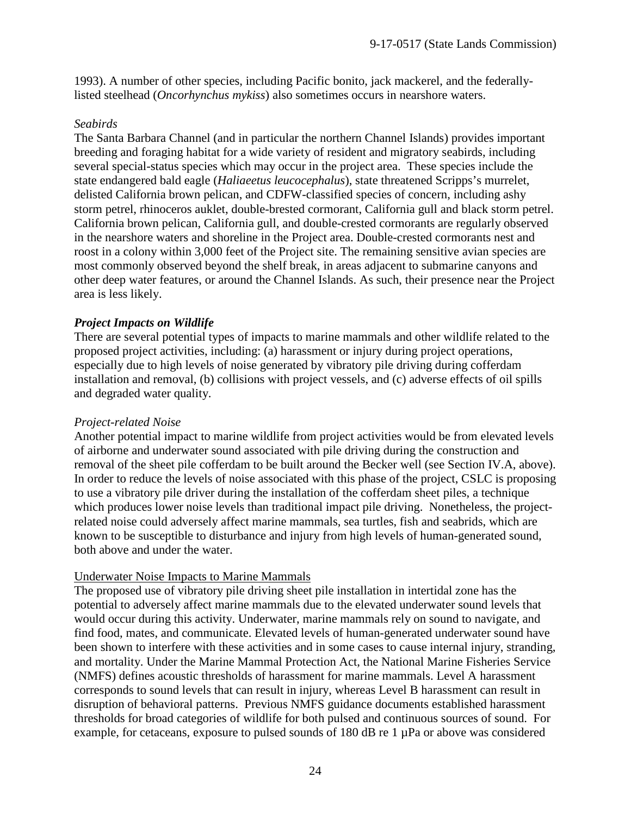1993). A number of other species, including Pacific bonito, jack mackerel, and the federallylisted steelhead (*Oncorhynchus mykiss*) also sometimes occurs in nearshore waters.

#### *Seabirds*

The Santa Barbara Channel (and in particular the northern Channel Islands) provides important breeding and foraging habitat for a wide variety of resident and migratory seabirds, including several special-status species which may occur in the project area. These species include the state endangered bald eagle (*Haliaeetus leucocephalus*), state threatened Scripps's murrelet, delisted California brown pelican, and CDFW-classified species of concern, including ashy storm petrel, rhinoceros auklet, double-brested cormorant, California gull and black storm petrel. California brown pelican, California gull, and double-crested cormorants are regularly observed in the nearshore waters and shoreline in the Project area. Double-crested cormorants nest and roost in a colony within 3,000 feet of the Project site. The remaining sensitive avian species are most commonly observed beyond the shelf break, in areas adjacent to submarine canyons and other deep water features, or around the Channel Islands. As such, their presence near the Project area is less likely.

#### *Project Impacts on Wildlife*

There are several potential types of impacts to marine mammals and other wildlife related to the proposed project activities, including: (a) harassment or injury during project operations, especially due to high levels of noise generated by vibratory pile driving during cofferdam installation and removal, (b) collisions with project vessels, and (c) adverse effects of oil spills and degraded water quality.

#### *Project-related Noise*

Another potential impact to marine wildlife from project activities would be from elevated levels of airborne and underwater sound associated with pile driving during the construction and removal of the sheet pile cofferdam to be built around the Becker well (see Section IV.A, above). In order to reduce the levels of noise associated with this phase of the project, CSLC is proposing to use a vibratory pile driver during the installation of the cofferdam sheet piles, a technique which produces lower noise levels than traditional impact pile driving. Nonetheless, the projectrelated noise could adversely affect marine mammals, sea turtles, fish and seabrids, which are known to be susceptible to disturbance and injury from high levels of human-generated sound, both above and under the water.

#### Underwater Noise Impacts to Marine Mammals

The proposed use of vibratory pile driving sheet pile installation in intertidal zone has the potential to adversely affect marine mammals due to the elevated underwater sound levels that would occur during this activity. Underwater, marine mammals rely on sound to navigate, and find food, mates, and communicate. Elevated levels of human-generated underwater sound have been shown to interfere with these activities and in some cases to cause internal injury, stranding, and mortality. Under the Marine Mammal Protection Act, the National Marine Fisheries Service (NMFS) defines acoustic thresholds of harassment for marine mammals. Level A harassment corresponds to sound levels that can result in injury, whereas Level B harassment can result in disruption of behavioral patterns. Previous NMFS guidance documents established harassment thresholds for broad categories of wildlife for both pulsed and continuous sources of sound. For example, for cetaceans, exposure to pulsed sounds of 180 dB re 1 µPa or above was considered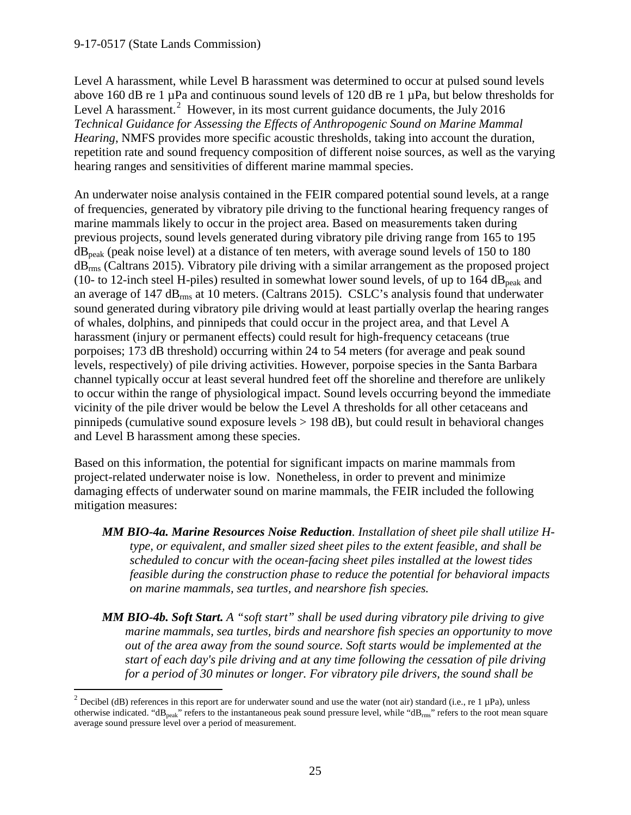Level A harassment, while Level B harassment was determined to occur at pulsed sound levels above 160 dB re 1 µPa and continuous sound levels of 120 dB re 1 µPa, but below thresholds for Level A harassment.<sup>[2](#page-24-0)</sup> However, in its most current guidance documents, the July 2016 *Technical Guidance for Assessing the Effects of Anthropogenic Sound on Marine Mammal Hearing*, NMFS provides more specific acoustic thresholds, taking into account the duration, repetition rate and sound frequency composition of different noise sources, as well as the varying hearing ranges and sensitivities of different marine mammal species.

An underwater noise analysis contained in the FEIR compared potential sound levels, at a range of frequencies, generated by vibratory pile driving to the functional hearing frequency ranges of marine mammals likely to occur in the project area. Based on measurements taken during previous projects, sound levels generated during vibratory pile driving range from 165 to 195  $dB_{\text{peak}}$  (peak noise level) at a distance of ten meters, with average sound levels of 150 to 180 dBrms (Caltrans 2015). Vibratory pile driving with a similar arrangement as the proposed project (10- to 12-inch steel H-piles) resulted in somewhat lower sound levels, of up to 164 dB<sub>peak</sub> and an average of 147 dBrms at 10 meters. (Caltrans 2015). CSLC's analysis found that underwater sound generated during vibratory pile driving would at least partially overlap the hearing ranges of whales, dolphins, and pinnipeds that could occur in the project area, and that Level A harassment (injury or permanent effects) could result for high-frequency cetaceans (true porpoises; 173 dB threshold) occurring within 24 to 54 meters (for average and peak sound levels, respectively) of pile driving activities. However, porpoise species in the Santa Barbara channel typically occur at least several hundred feet off the shoreline and therefore are unlikely to occur within the range of physiological impact. Sound levels occurring beyond the immediate vicinity of the pile driver would be below the Level A thresholds for all other cetaceans and pinnipeds (cumulative sound exposure levels > 198 dB), but could result in behavioral changes and Level B harassment among these species.

Based on this information, the potential for significant impacts on marine mammals from project-related underwater noise is low. Nonetheless, in order to prevent and minimize damaging effects of underwater sound on marine mammals, the FEIR included the following mitigation measures:

- *MM BIO-4a. Marine Resources Noise Reduction. Installation of sheet pile shall utilize Htype, or equivalent, and smaller sized sheet piles to the extent feasible, and shall be scheduled to concur with the ocean-facing sheet piles installed at the lowest tides feasible during the construction phase to reduce the potential for behavioral impacts on marine mammals, sea turtles, and nearshore fish species.*
- *MM BIO-4b. Soft Start. A "soft start" shall be used during vibratory pile driving to give marine mammals, sea turtles, birds and nearshore fish species an opportunity to move out of the area away from the sound source. Soft starts would be implemented at the start of each day's pile driving and at any time following the cessation of pile driving for a period of 30 minutes or longer. For vibratory pile drivers, the sound shall be*

<span id="page-24-0"></span><sup>&</sup>lt;sup>2</sup> Decibel (dB) references in this report are for underwater sound and use the water (not air) standard (i.e., re 1  $\mu$ Pa), unless otherwise indicated. "dB<sub>peak</sub>" refers to the instantaneous peak sound pressure level, while "dB<sub>rms</sub>" refers to the root mean square average sound pressure level over a period of measurement.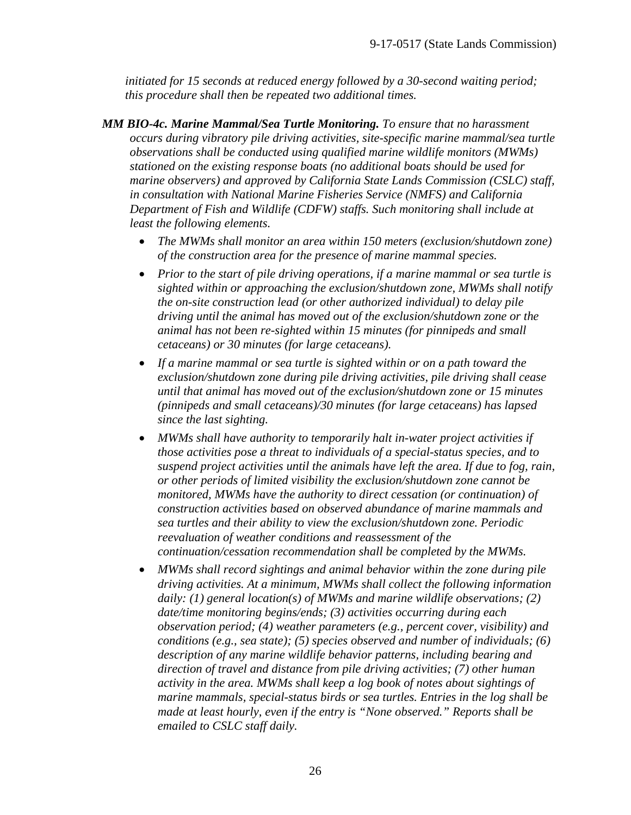*initiated for 15 seconds at reduced energy followed by a 30-second waiting period; this procedure shall then be repeated two additional times.*

- *MM BIO-4c. Marine Mammal/Sea Turtle Monitoring. To ensure that no harassment occurs during vibratory pile driving activities, site-specific marine mammal/sea turtle observations shall be conducted using qualified marine wildlife monitors (MWMs) stationed on the existing response boats (no additional boats should be used for marine observers) and approved by California State Lands Commission (CSLC) staff, in consultation with National Marine Fisheries Service (NMFS) and California Department of Fish and Wildlife (CDFW) staffs. Such monitoring shall include at least the following elements.*
	- *The MWMs shall monitor an area within 150 meters (exclusion/shutdown zone) of the construction area for the presence of marine mammal species.*
	- *Prior to the start of pile driving operations, if a marine mammal or sea turtle is sighted within or approaching the exclusion/shutdown zone, MWMs shall notify the on-site construction lead (or other authorized individual) to delay pile driving until the animal has moved out of the exclusion/shutdown zone or the animal has not been re-sighted within 15 minutes (for pinnipeds and small cetaceans) or 30 minutes (for large cetaceans).*
	- *If a marine mammal or sea turtle is sighted within or on a path toward the exclusion/shutdown zone during pile driving activities, pile driving shall cease until that animal has moved out of the exclusion/shutdown zone or 15 minutes (pinnipeds and small cetaceans)/30 minutes (for large cetaceans) has lapsed since the last sighting.*
	- *MWMs shall have authority to temporarily halt in-water project activities if those activities pose a threat to individuals of a special-status species, and to suspend project activities until the animals have left the area. If due to fog, rain, or other periods of limited visibility the exclusion/shutdown zone cannot be monitored, MWMs have the authority to direct cessation (or continuation) of construction activities based on observed abundance of marine mammals and sea turtles and their ability to view the exclusion/shutdown zone. Periodic reevaluation of weather conditions and reassessment of the continuation/cessation recommendation shall be completed by the MWMs.*
	- *MWMs shall record sightings and animal behavior within the zone during pile driving activities. At a minimum, MWMs shall collect the following information daily: (1) general location(s) of MWMs and marine wildlife observations; (2) date/time monitoring begins/ends; (3) activities occurring during each observation period; (4) weather parameters (e.g., percent cover, visibility) and conditions (e.g., sea state); (5) species observed and number of individuals; (6) description of any marine wildlife behavior patterns, including bearing and direction of travel and distance from pile driving activities; (7) other human activity in the area. MWMs shall keep a log book of notes about sightings of marine mammals, special-status birds or sea turtles. Entries in the log shall be made at least hourly, even if the entry is "None observed." Reports shall be emailed to CSLC staff daily.*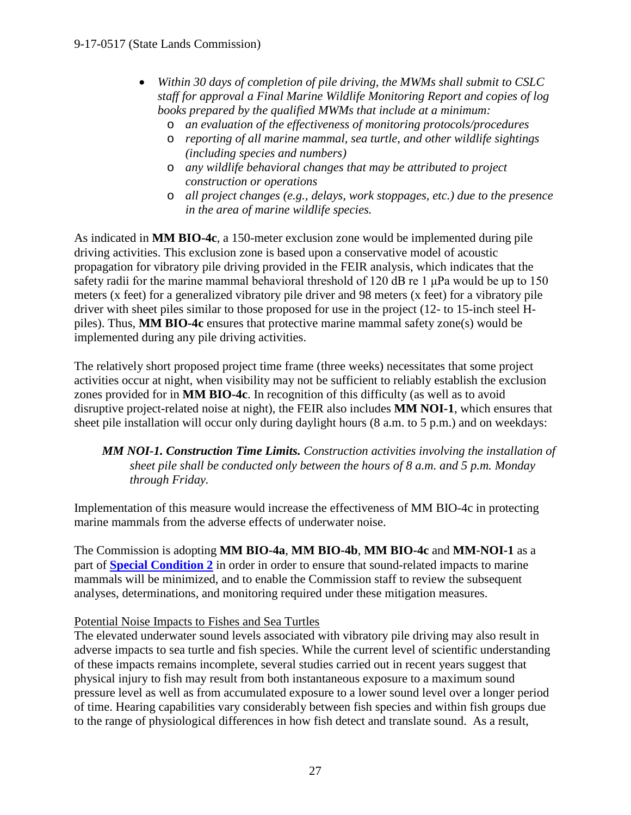- *Within 30 days of completion of pile driving, the MWMs shall submit to CSLC staff for approval a Final Marine Wildlife Monitoring Report and copies of log books prepared by the qualified MWMs that include at a minimum:*
	- o *an evaluation of the effectiveness of monitoring protocols/procedures*
	- o *reporting of all marine mammal, sea turtle, and other wildlife sightings (including species and numbers)*
	- o *any wildlife behavioral changes that may be attributed to project construction or operations*
	- o *all project changes (e.g., delays, work stoppages, etc.) due to the presence in the area of marine wildlife species.*

As indicated in **MM BIO-4c**, a 150-meter exclusion zone would be implemented during pile driving activities. This exclusion zone is based upon a conservative model of acoustic propagation for vibratory pile driving provided in the FEIR analysis, which indicates that the safety radii for the marine mammal behavioral threshold of 120 dB re 1 μPa would be up to 150 meters (x feet) for a generalized vibratory pile driver and 98 meters (x feet) for a vibratory pile driver with sheet piles similar to those proposed for use in the project (12- to 15-inch steel Hpiles). Thus, **MM BIO-4c** ensures that protective marine mammal safety zone(s) would be implemented during any pile driving activities.

The relatively short proposed project time frame (three weeks) necessitates that some project activities occur at night, when visibility may not be sufficient to reliably establish the exclusion zones provided for in **MM BIO-4c**. In recognition of this difficulty (as well as to avoid disruptive project-related noise at night), the FEIR also includes **MM NOI-1**, which ensures that sheet pile installation will occur only during daylight hours (8 a.m. to 5 p.m.) and on weekdays:

## *MM NOI-1. Construction Time Limits. Construction activities involving the installation of sheet pile shall be conducted only between the hours of 8 a.m. and 5 p.m. Monday through Friday.*

Implementation of this measure would increase the effectiveness of MM BIO-4c in protecting marine mammals from the adverse effects of underwater noise.

The Commission is adopting **MM BIO-4a**, **MM BIO-4b**, **MM BIO-4c** and **MM-NOI-1** as a part of **[Special Condition 2](#page-4-0)** in order in order to ensure that sound-related impacts to marine mammals will be minimized, and to enable the Commission staff to review the subsequent analyses, determinations, and monitoring required under these mitigation measures.

## Potential Noise Impacts to Fishes and Sea Turtles

The elevated underwater sound levels associated with vibratory pile driving may also result in adverse impacts to sea turtle and fish species. While the current level of scientific understanding of these impacts remains incomplete, several studies carried out in recent years suggest that physical injury to fish may result from both instantaneous exposure to a maximum sound pressure level as well as from accumulated exposure to a lower sound level over a longer period of time. Hearing capabilities vary considerably between fish species and within fish groups due to the range of physiological differences in how fish detect and translate sound. As a result,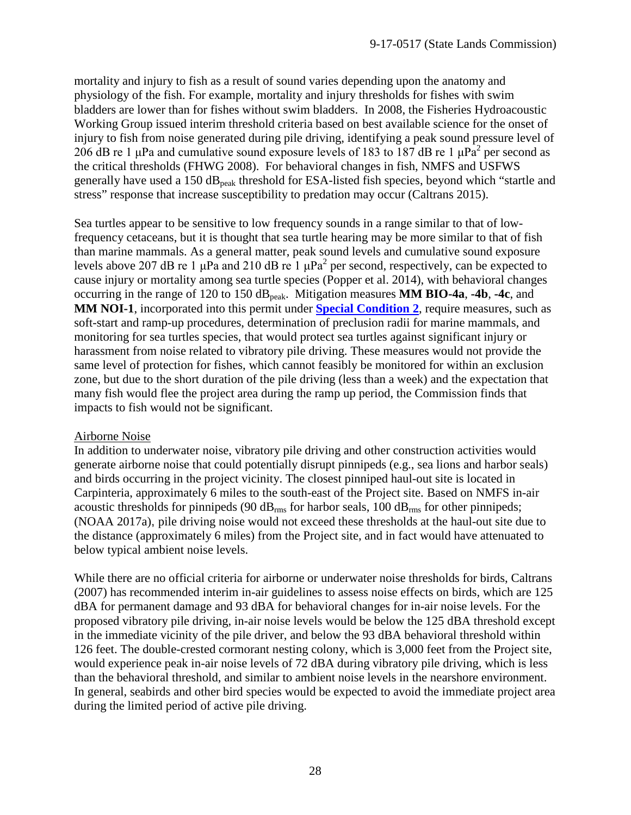mortality and injury to fish as a result of sound varies depending upon the anatomy and physiology of the fish. For example, mortality and injury thresholds for fishes with swim bladders are lower than for fishes without swim bladders. In 2008, the Fisheries Hydroacoustic Working Group issued interim threshold criteria based on best available science for the onset of injury to fish from noise generated during pile driving, identifying a peak sound pressure level of 206 dB re 1  $\mu$ Pa and cumulative sound exposure levels of 183 to 187 dB re 1  $\mu$ Pa<sup>2</sup> per second as the critical thresholds (FHWG 2008). For behavioral changes in fish, NMFS and USFWS generally have used a 150  $dB_{peak}$  threshold for ESA-listed fish species, beyond which "startle and stress" response that increase susceptibility to predation may occur (Caltrans 2015).

Sea turtles appear to be sensitive to low frequency sounds in a range similar to that of lowfrequency cetaceans, but it is thought that sea turtle hearing may be more similar to that of fish than marine mammals. As a general matter, peak sound levels and cumulative sound exposure levels above 207 dB re 1  $\mu$ Pa and 210 dB re 1  $\mu$ Pa<sup>2</sup> per second, respectively, can be expected to cause injury or mortality among sea turtle species (Popper et al. 2014), with behavioral changes occurring in the range of 120 to 150 dB<sub>peak</sub>. Mitigation measures **MM BIO-4a, -4b, -4c**, and **MM NOI-1**, incorporated into this permit under **[Special Condition 2](#page-4-0)**, require measures, such as soft-start and ramp-up procedures, determination of preclusion radii for marine mammals, and monitoring for sea turtles species, that would protect sea turtles against significant injury or harassment from noise related to vibratory pile driving. These measures would not provide the same level of protection for fishes, which cannot feasibly be monitored for within an exclusion zone, but due to the short duration of the pile driving (less than a week) and the expectation that many fish would flee the project area during the ramp up period, the Commission finds that impacts to fish would not be significant.

## Airborne Noise

In addition to underwater noise, vibratory pile driving and other construction activities would generate airborne noise that could potentially disrupt pinnipeds (e.g., sea lions and harbor seals) and birds occurring in the project vicinity. The closest pinniped haul-out site is located in Carpinteria, approximately 6 miles to the south-east of the Project site. Based on NMFS in-air acoustic thresholds for pinnipeds (90  $dB_{rms}$  for harbor seals, 100  $dB_{rms}$  for other pinnipeds; (NOAA 2017a), pile driving noise would not exceed these thresholds at the haul-out site due to the distance (approximately 6 miles) from the Project site, and in fact would have attenuated to below typical ambient noise levels.

While there are no official criteria for airborne or underwater noise thresholds for birds, Caltrans (2007) has recommended interim in-air guidelines to assess noise effects on birds, which are 125 dBA for permanent damage and 93 dBA for behavioral changes for in-air noise levels. For the proposed vibratory pile driving, in-air noise levels would be below the 125 dBA threshold except in the immediate vicinity of the pile driver, and below the 93 dBA behavioral threshold within 126 feet. The double-crested cormorant nesting colony, which is 3,000 feet from the Project site, would experience peak in-air noise levels of 72 dBA during vibratory pile driving, which is less than the behavioral threshold, and similar to ambient noise levels in the nearshore environment. In general, seabirds and other bird species would be expected to avoid the immediate project area during the limited period of active pile driving.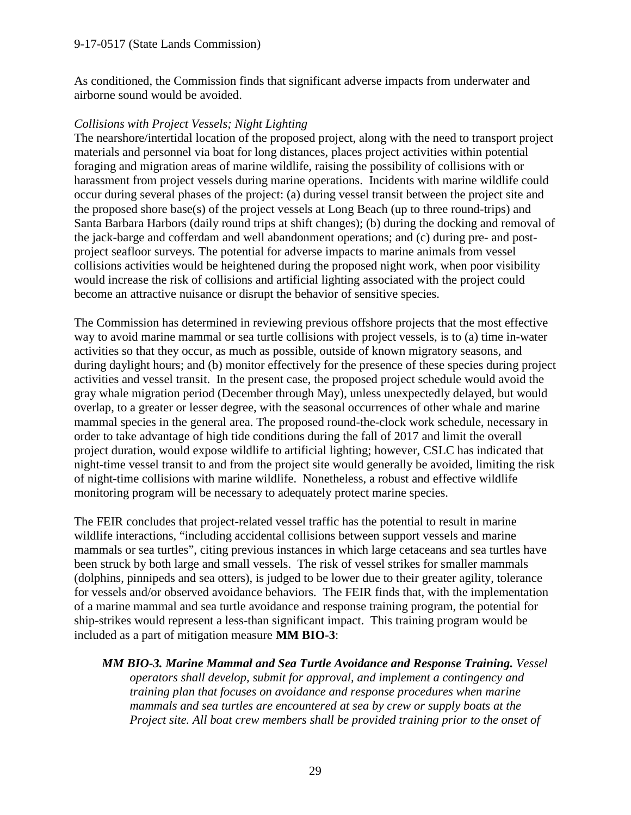As conditioned, the Commission finds that significant adverse impacts from underwater and airborne sound would be avoided.

#### *Collisions with Project Vessels; Night Lighting*

The nearshore/intertidal location of the proposed project, along with the need to transport project materials and personnel via boat for long distances, places project activities within potential foraging and migration areas of marine wildlife, raising the possibility of collisions with or harassment from project vessels during marine operations. Incidents with marine wildlife could occur during several phases of the project: (a) during vessel transit between the project site and the proposed shore base(s) of the project vessels at Long Beach (up to three round-trips) and Santa Barbara Harbors (daily round trips at shift changes); (b) during the docking and removal of the jack-barge and cofferdam and well abandonment operations; and (c) during pre- and postproject seafloor surveys. The potential for adverse impacts to marine animals from vessel collisions activities would be heightened during the proposed night work, when poor visibility would increase the risk of collisions and artificial lighting associated with the project could become an attractive nuisance or disrupt the behavior of sensitive species.

The Commission has determined in reviewing previous offshore projects that the most effective way to avoid marine mammal or sea turtle collisions with project vessels, is to (a) time in-water activities so that they occur, as much as possible, outside of known migratory seasons, and during daylight hours; and (b) monitor effectively for the presence of these species during project activities and vessel transit. In the present case, the proposed project schedule would avoid the gray whale migration period (December through May), unless unexpectedly delayed, but would overlap, to a greater or lesser degree, with the seasonal occurrences of other whale and marine mammal species in the general area. The proposed round-the-clock work schedule, necessary in order to take advantage of high tide conditions during the fall of 2017 and limit the overall project duration, would expose wildlife to artificial lighting; however, CSLC has indicated that night-time vessel transit to and from the project site would generally be avoided, limiting the risk of night-time collisions with marine wildlife. Nonetheless, a robust and effective wildlife monitoring program will be necessary to adequately protect marine species.

The FEIR concludes that project-related vessel traffic has the potential to result in marine wildlife interactions, "including accidental collisions between support vessels and marine mammals or sea turtles", citing previous instances in which large cetaceans and sea turtles have been struck by both large and small vessels. The risk of vessel strikes for smaller mammals (dolphins, pinnipeds and sea otters), is judged to be lower due to their greater agility, tolerance for vessels and/or observed avoidance behaviors. The FEIR finds that, with the implementation of a marine mammal and sea turtle avoidance and response training program, the potential for ship-strikes would represent a less-than significant impact. This training program would be included as a part of mitigation measure **MM BIO-3**:

*MM BIO-3. Marine Mammal and Sea Turtle Avoidance and Response Training. Vessel operators shall develop, submit for approval, and implement a contingency and training plan that focuses on avoidance and response procedures when marine mammals and sea turtles are encountered at sea by crew or supply boats at the Project site. All boat crew members shall be provided training prior to the onset of*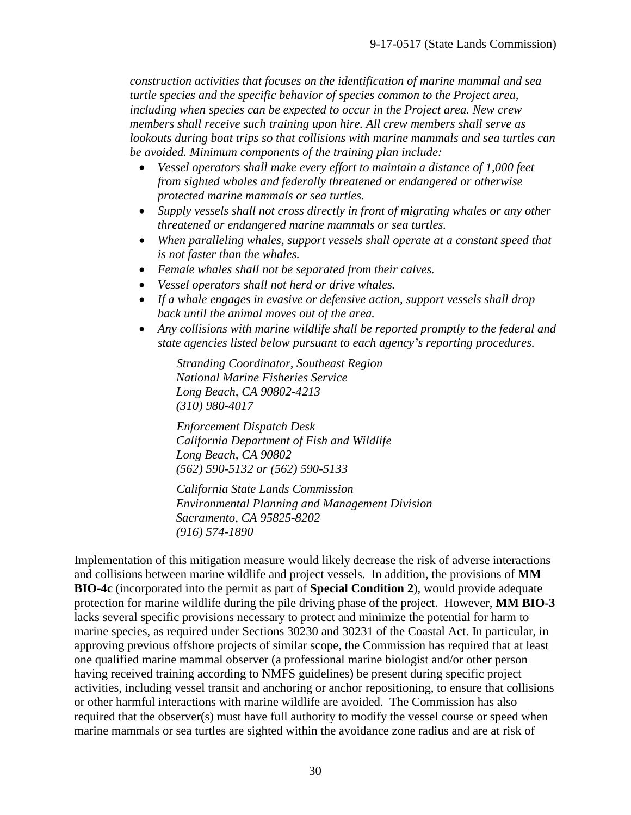*construction activities that focuses on the identification of marine mammal and sea turtle species and the specific behavior of species common to the Project area, including when species can be expected to occur in the Project area. New crew members shall receive such training upon hire. All crew members shall serve as lookouts during boat trips so that collisions with marine mammals and sea turtles can be avoided. Minimum components of the training plan include:*

- *Vessel operators shall make every effort to maintain a distance of 1,000 feet from sighted whales and federally threatened or endangered or otherwise protected marine mammals or sea turtles.*
- *Supply vessels shall not cross directly in front of migrating whales or any other threatened or endangered marine mammals or sea turtles.*
- *When paralleling whales, support vessels shall operate at a constant speed that is not faster than the whales.*
- *Female whales shall not be separated from their calves.*
- *Vessel operators shall not herd or drive whales.*
- *If a whale engages in evasive or defensive action, support vessels shall drop back until the animal moves out of the area.*
- *Any collisions with marine wildlife shall be reported promptly to the federal and state agencies listed below pursuant to each agency's reporting procedures.*

*Stranding Coordinator, Southeast Region National Marine Fisheries Service Long Beach, CA 90802-4213 (310) 980-4017*

*Enforcement Dispatch Desk California Department of Fish and Wildlife Long Beach, CA 90802 (562) 590-5132 or (562) 590-5133*

*California State Lands Commission Environmental Planning and Management Division Sacramento, CA 95825-8202 (916) 574-1890*

Implementation of this mitigation measure would likely decrease the risk of adverse interactions and collisions between marine wildlife and project vessels. In addition, the provisions of **MM BIO-4c** (incorporated into the permit as part of **Special Condition 2**), would provide adequate protection for marine wildlife during the pile driving phase of the project. However, **MM BIO-3** lacks several specific provisions necessary to protect and minimize the potential for harm to marine species, as required under Sections 30230 and 30231 of the Coastal Act. In particular, in approving previous offshore projects of similar scope, the Commission has required that at least one qualified marine mammal observer (a professional marine biologist and/or other person having received training according to NMFS guidelines) be present during specific project activities, including vessel transit and anchoring or anchor repositioning, to ensure that collisions or other harmful interactions with marine wildlife are avoided. The Commission has also required that the observer(s) must have full authority to modify the vessel course or speed when marine mammals or sea turtles are sighted within the avoidance zone radius and are at risk of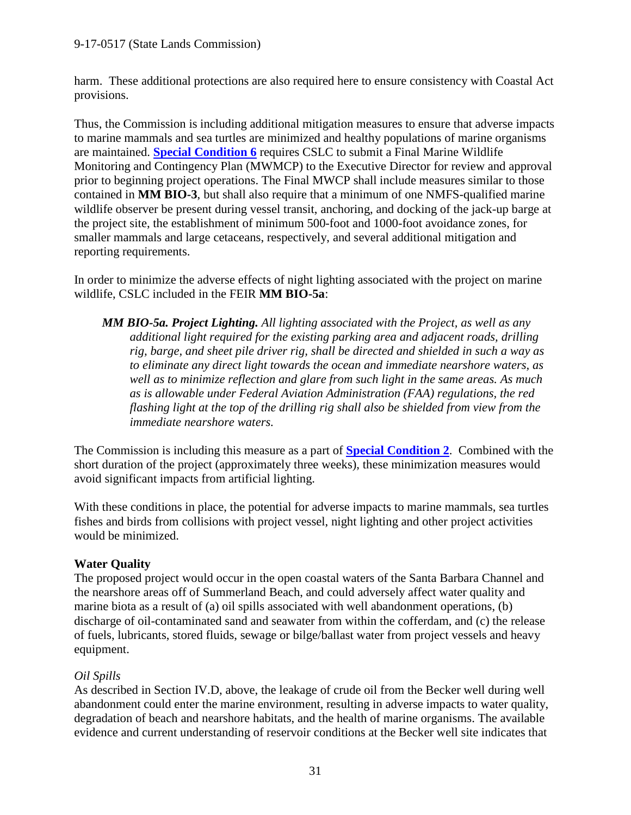harm. These additional protections are also required here to ensure consistency with Coastal Act provisions.

Thus, the Commission is including additional mitigation measures to ensure that adverse impacts to marine mammals and sea turtles are minimized and healthy populations of marine organisms are maintained. **Special [Condition 6](#page-5-2)** requires CSLC to submit a Final Marine Wildlife Monitoring and Contingency Plan (MWMCP) to the Executive Director for review and approval prior to beginning project operations. The Final MWCP shall include measures similar to those contained in **MM BIO-3**, but shall also require that a minimum of one NMFS-qualified marine wildlife observer be present during vessel transit, anchoring, and docking of the jack-up barge at the project site, the establishment of minimum 500-foot and 1000-foot avoidance zones, for smaller mammals and large cetaceans, respectively, and several additional mitigation and reporting requirements.

In order to minimize the adverse effects of night lighting associated with the project on marine wildlife, CSLC included in the FEIR **MM BIO-5a**:

*MM BIO-5a. Project Lighting. All lighting associated with the Project, as well as any additional light required for the existing parking area and adjacent roads, drilling rig, barge, and sheet pile driver rig, shall be directed and shielded in such a way as to eliminate any direct light towards the ocean and immediate nearshore waters, as well as to minimize reflection and glare from such light in the same areas. As much as is allowable under Federal Aviation Administration (FAA) regulations, the red flashing light at the top of the drilling rig shall also be shielded from view from the immediate nearshore waters.*

The Commission is including this measure as a part of **[Special Condition 2](#page-4-0)**. Combined with the short duration of the project (approximately three weeks), these minimization measures would avoid significant impacts from artificial lighting.

With these conditions in place, the potential for adverse impacts to marine mammals, sea turtles fishes and birds from collisions with project vessel, night lighting and other project activities would be minimized.

## **Water Quality**

The proposed project would occur in the open coastal waters of the Santa Barbara Channel and the nearshore areas off of Summerland Beach, and could adversely affect water quality and marine biota as a result of (a) oil spills associated with well abandonment operations, (b) discharge of oil-contaminated sand and seawater from within the cofferdam, and (c) the release of fuels, lubricants, stored fluids, sewage or bilge/ballast water from project vessels and heavy equipment.

## *Oil Spills*

As described in Section IV.D, above, the leakage of crude oil from the Becker well during well abandonment could enter the marine environment, resulting in adverse impacts to water quality, degradation of beach and nearshore habitats, and the health of marine organisms. The available evidence and current understanding of reservoir conditions at the Becker well site indicates that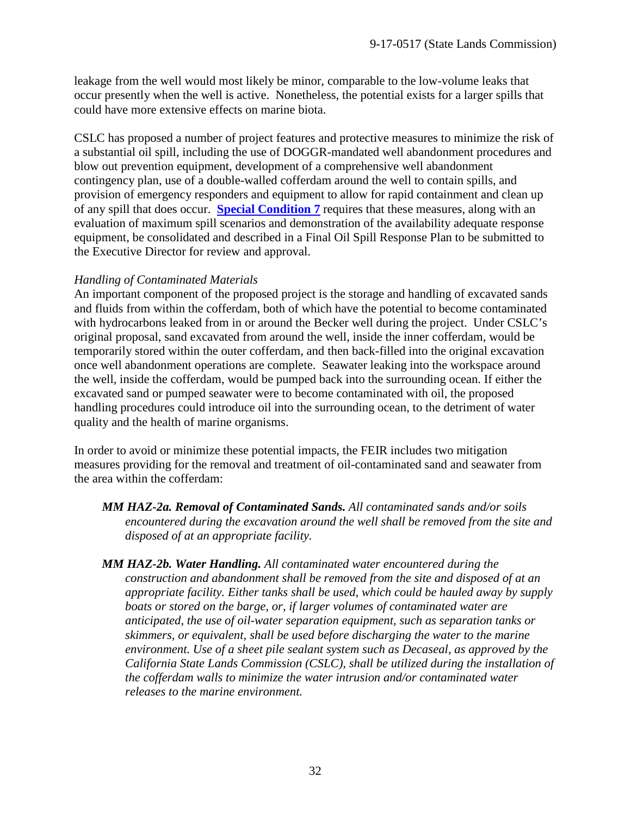leakage from the well would most likely be minor, comparable to the low-volume leaks that occur presently when the well is active. Nonetheless, the potential exists for a larger spills that could have more extensive effects on marine biota.

CSLC has proposed a number of project features and protective measures to minimize the risk of a substantial oil spill, including the use of DOGGR-mandated well abandonment procedures and blow out prevention equipment, development of a comprehensive well abandonment contingency plan, use of a double-walled cofferdam around the well to contain spills, and provision of emergency responders and equipment to allow for rapid containment and clean up of any spill that does occur. **[Special Condition 7](#page-7-0)** requires that these measures, along with an evaluation of maximum spill scenarios and demonstration of the availability adequate response equipment, be consolidated and described in a Final Oil Spill Response Plan to be submitted to the Executive Director for review and approval.

## *Handling of Contaminated Materials*

An important component of the proposed project is the storage and handling of excavated sands and fluids from within the cofferdam, both of which have the potential to become contaminated with hydrocarbons leaked from in or around the Becker well during the project. Under CSLC's original proposal, sand excavated from around the well, inside the inner cofferdam, would be temporarily stored within the outer cofferdam, and then back-filled into the original excavation once well abandonment operations are complete. Seawater leaking into the workspace around the well, inside the cofferdam, would be pumped back into the surrounding ocean. If either the excavated sand or pumped seawater were to become contaminated with oil, the proposed handling procedures could introduce oil into the surrounding ocean, to the detriment of water quality and the health of marine organisms.

In order to avoid or minimize these potential impacts, the FEIR includes two mitigation measures providing for the removal and treatment of oil-contaminated sand and seawater from the area within the cofferdam:

- *MM HAZ-2a. Removal of Contaminated Sands. All contaminated sands and/or soils encountered during the excavation around the well shall be removed from the site and disposed of at an appropriate facility.*
- *MM HAZ-2b. Water Handling. All contaminated water encountered during the construction and abandonment shall be removed from the site and disposed of at an appropriate facility. Either tanks shall be used, which could be hauled away by supply boats or stored on the barge, or, if larger volumes of contaminated water are anticipated, the use of oil-water separation equipment, such as separation tanks or skimmers, or equivalent, shall be used before discharging the water to the marine environment. Use of a sheet pile sealant system such as Decaseal, as approved by the California State Lands Commission (CSLC), shall be utilized during the installation of the cofferdam walls to minimize the water intrusion and/or contaminated water releases to the marine environment.*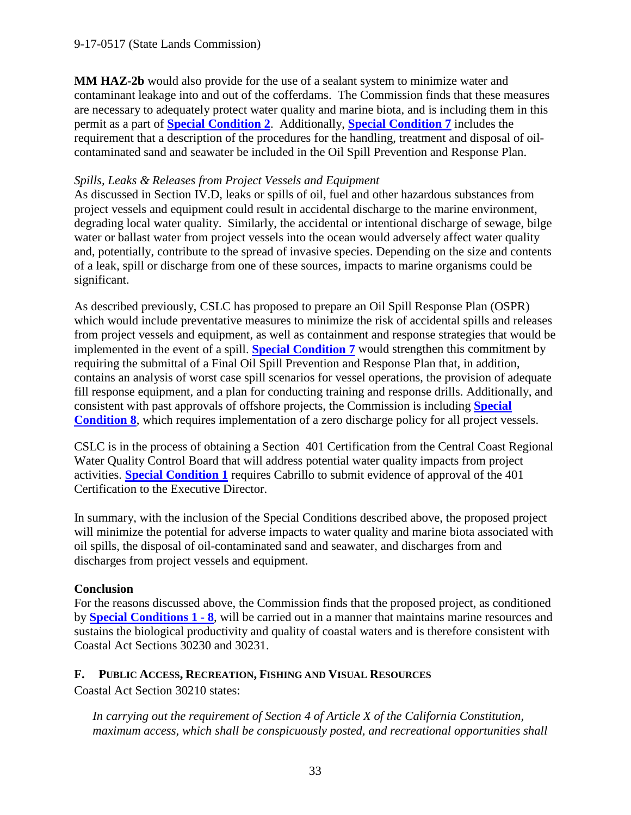**MM HAZ-2b** would also provide for the use of a sealant system to minimize water and contaminant leakage into and out of the cofferdams. The Commission finds that these measures are necessary to adequately protect water quality and marine biota, and is including them in this permit as a part of **[Special Condition 2](#page-4-0)**. Additionally, **[Special Condition 7](#page-7-0)** includes the requirement that a description of the procedures for the handling, treatment and disposal of oilcontaminated sand and seawater be included in the Oil Spill Prevention and Response Plan.

#### *Spills, Leaks & Releases from Project Vessels and Equipment*

As discussed in Section IV.D, leaks or spills of oil, fuel and other hazardous substances from project vessels and equipment could result in accidental discharge to the marine environment, degrading local water quality. Similarly, the accidental or intentional discharge of sewage, bilge water or ballast water from project vessels into the ocean would adversely affect water quality and, potentially, contribute to the spread of invasive species. Depending on the size and contents of a leak, spill or discharge from one of these sources, impacts to marine organisms could be significant.

As described previously, CSLC has proposed to prepare an Oil Spill Response Plan (OSPR) which would include preventative measures to minimize the risk of accidental spills and releases from project vessels and equipment, as well as containment and response strategies that would be implemented in the event of a spill. **[Special Condition 7](#page-7-0)** would strengthen this commitment by requiring the submittal of a Final Oil Spill Prevention and Response Plan that, in addition, contains an analysis of worst case spill scenarios for vessel operations, the provision of adequate fill response equipment, and a plan for conducting training and response drills. Additionally, and consistent with past approvals of offshore projects, the Commission is including **[Special](#page-7-1)  [Condition 8](#page-7-1)**, which requires implementation of a zero discharge policy for all project vessels.

CSLC is in the process of obtaining a Section 401 Certification from the Central Coast Regional Water Quality Control Board that will address potential water quality impacts from project activities. **[Special Condition 1](#page-4-3)** requires Cabrillo to submit evidence of approval of the 401 Certification to the Executive Director.

In summary, with the inclusion of the Special Conditions described above, the proposed project will minimize the potential for adverse impacts to water quality and marine biota associated with oil spills, the disposal of oil-contaminated sand and seawater, and discharges from and discharges from project vessels and equipment.

## **Conclusion**

For the reasons discussed above, the Commission finds that the proposed project, as conditioned by **[Special Conditions 1 -](#page-4-2) 8**, will be carried out in a manner that maintains marine resources and sustains the biological productivity and quality of coastal waters and is therefore consistent with Coastal Act Sections 30230 and 30231.

## <span id="page-32-0"></span>**F. PUBLIC ACCESS, RECREATION, FISHING AND VISUAL RESOURCES**

Coastal Act Section 30210 states:

*In carrying out the requirement of Section 4 of Article X of the California Constitution, maximum access, which shall be conspicuously posted, and recreational opportunities shall*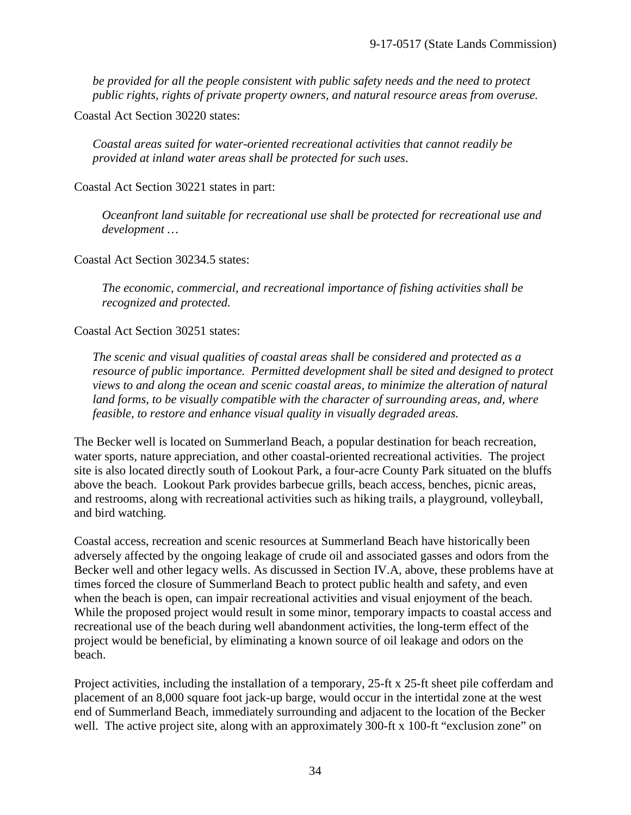*be provided for all the people consistent with public safety needs and the need to protect public rights, rights of private property owners, and natural resource areas from overuse.*

Coastal Act Section 30220 states:

*Coastal areas suited for water-oriented recreational activities that cannot readily be provided at inland water areas shall be protected for such uses*.

Coastal Act Section 30221 states in part:

*Oceanfront land suitable for recreational use shall be protected for recreational use and development …*

Coastal Act Section 30234.5 states:

*The economic, commercial, and recreational importance of fishing activities shall be recognized and protected.*

Coastal Act Section 30251 states:

*The scenic and visual qualities of coastal areas shall be considered and protected as a resource of public importance. Permitted development shall be sited and designed to protect views to and along the ocean and scenic coastal areas, to minimize the alteration of natural land forms, to be visually compatible with the character of surrounding areas, and, where feasible, to restore and enhance visual quality in visually degraded areas.* 

The Becker well is located on Summerland Beach, a popular destination for beach recreation, water sports, nature appreciation, and other coastal-oriented recreational activities. The project site is also located directly south of Lookout Park, a four-acre County Park situated on the bluffs above the beach. Lookout Park provides barbecue grills, beach access, benches, picnic areas, and restrooms, along with recreational activities such as hiking trails, a playground, volleyball, and bird watching.

Coastal access, recreation and scenic resources at Summerland Beach have historically been adversely affected by the ongoing leakage of crude oil and associated gasses and odors from the Becker well and other legacy wells. As discussed in Section IV.A, above, these problems have at times forced the closure of Summerland Beach to protect public health and safety, and even when the beach is open, can impair recreational activities and visual enjoyment of the beach. While the proposed project would result in some minor, temporary impacts to coastal access and recreational use of the beach during well abandonment activities, the long-term effect of the project would be beneficial, by eliminating a known source of oil leakage and odors on the beach.

Project activities, including the installation of a temporary, 25-ft x 25-ft sheet pile cofferdam and placement of an 8,000 square foot jack-up barge, would occur in the intertidal zone at the west end of Summerland Beach, immediately surrounding and adjacent to the location of the Becker well. The active project site, along with an approximately 300-ft x 100-ft "exclusion zone" on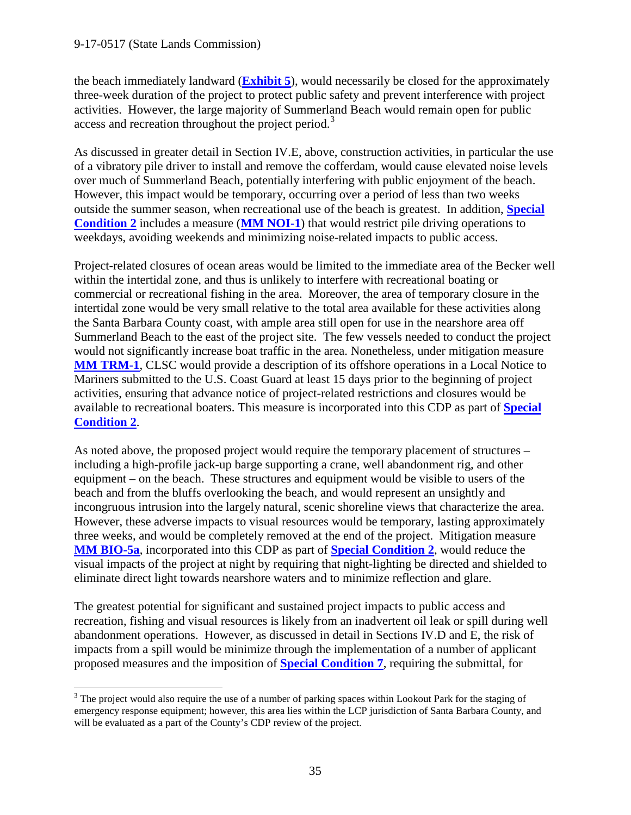the beach immediately landward (**[Exhibit 5](https://documents.coastal.ca.gov/reports/2017/9/w22a/w22a-9-2017-exhibits.pdf)**), would necessarily be closed for the approximately three-week duration of the project to protect public safety and prevent interference with project activities. However, the large majority of Summerland Beach would remain open for public access and recreation throughout the project period.<sup>[3](#page-34-0)</sup>

As discussed in greater detail in Section IV.E, above, construction activities, in particular the use of a vibratory pile driver to install and remove the cofferdam, would cause elevated noise levels over much of Summerland Beach, potentially interfering with public enjoyment of the beach. However, this impact would be temporary, occurring over a period of less than two weeks outside the summer season, when recreational use of the beach is greatest. In addition, **[Special](#page-4-0)  [Condition](#page-4-0) 2** includes a measure (**[MM NOI-1](#page-38-0)**) that would restrict pile driving operations to weekdays, avoiding weekends and minimizing noise-related impacts to public access.

Project-related closures of ocean areas would be limited to the immediate area of the Becker well within the intertidal zone, and thus is unlikely to interfere with recreational boating or commercial or recreational fishing in the area. Moreover, the area of temporary closure in the intertidal zone would be very small relative to the total area available for these activities along the Santa Barbara County coast, with ample area still open for use in the nearshore area off Summerland Beach to the east of the project site. The few vessels needed to conduct the project would not significantly increase boat traffic in the area. Nonetheless, under mitigation measure **[MM TRM-1](#page-38-0)**, CLSC would provide a description of its offshore operations in a Local Notice to Mariners submitted to the U.S. Coast Guard at least 15 days prior to the beginning of project activities, ensuring that advance notice of project-related restrictions and closures would be available to recreational boaters. This measure is incorporated into this CDP as part of **[Special](#page-4-0)  [Condition 2](#page-4-0)**.

As noted above, the proposed project would require the temporary placement of structures – including a high-profile jack-up barge supporting a crane, well abandonment rig, and other equipment – on the beach. These structures and equipment would be visible to users of the beach and from the bluffs overlooking the beach, and would represent an unsightly and incongruous intrusion into the largely natural, scenic shoreline views that characterize the area. However, these adverse impacts to visual resources would be temporary, lasting approximately three weeks, and would be completely removed at the end of the project. Mitigation measure **[MM BIO-5a](#page-38-0)**, incorporated into this CDP as part of **[Special Condition 2](#page-4-0)**, would reduce the visual impacts of the project at night by requiring that night-lighting be directed and shielded to eliminate direct light towards nearshore waters and to minimize reflection and glare.

The greatest potential for significant and sustained project impacts to public access and recreation, fishing and visual resources is likely from an inadvertent oil leak or spill during well abandonment operations. However, as discussed in detail in Sections IV.D and E, the risk of impacts from a spill would be minimize through the implementation of a number of applicant proposed measures and the imposition of **[Special Condition 7](#page-7-0)**, requiring the submittal, for

<span id="page-34-0"></span><sup>&</sup>lt;sup>3</sup> The project would also require the use of a number of parking spaces within Lookout Park for the staging of emergency response equipment; however, this area lies within the LCP jurisdiction of Santa Barbara County, and will be evaluated as a part of the County's CDP review of the project.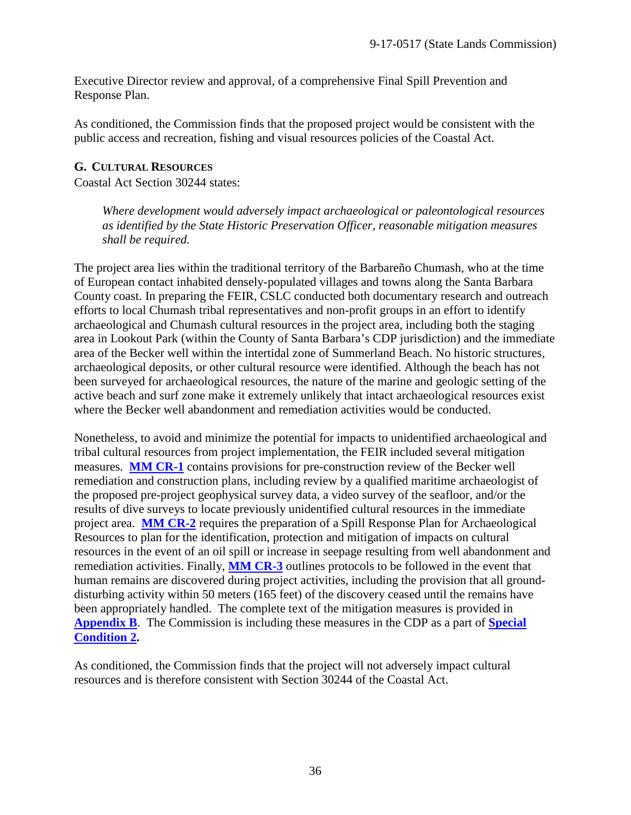Executive Director review and approval, of a comprehensive Final Spill Prevention and Response Plan.

As conditioned, the Commission finds that the proposed project would be consistent with the public access and recreation, fishing and visual resources policies of the Coastal Act.

#### <span id="page-35-0"></span>**G. CULTURAL RESOURCES**

Coastal Act Section 30244 states:

*Where development would adversely impact archaeological or paleontological resources as identified by the State Historic Preservation Officer, reasonable mitigation measures shall be required.*

The project area lies within the traditional territory of the Barbareño Chumash, who at the time of European contact inhabited densely-populated villages and towns along the Santa Barbara County coast. In preparing the FEIR, CSLC conducted both documentary research and outreach efforts to local Chumash tribal representatives and non-profit groups in an effort to identify archaeological and Chumash cultural resources in the project area, including both the staging area in Lookout Park (within the County of Santa Barbara's CDP jurisdiction) and the immediate area of the Becker well within the intertidal zone of Summerland Beach. No historic structures, archaeological deposits, or other cultural resource were identified. Although the beach has not been surveyed for archaeological resources, the nature of the marine and geologic setting of the active beach and surf zone make it extremely unlikely that intact archaeological resources exist where the Becker well abandonment and remediation activities would be conducted.

Nonetheless, to avoid and minimize the potential for impacts to unidentified archaeological and tribal cultural resources from project implementation, the FEIR included several mitigation measures. **[MM CR-1](#page-38-0)** contains provisions for pre-construction review of the Becker well remediation and construction plans, including review by a qualified maritime archaeologist of the proposed pre-project geophysical survey data, a video survey of the seafloor, and/or the results of dive surveys to locate previously unidentified cultural resources in the immediate project area. **[MM CR-2](#page-38-0)** requires the preparation of a Spill Response Plan for Archaeological Resources to plan for the identification, protection and mitigation of impacts on cultural resources in the event of an oil spill or increase in seepage resulting from well abandonment and remediation activities. Finally, **[MM CR-3](#page-38-0)** outlines protocols to be followed in the event that human remains are discovered during project activities, including the provision that all grounddisturbing activity within 50 meters (165 feet) of the discovery ceased until the remains have been appropriately handled. The complete text of the mitigation measures is provided in **[Appendix B](#page-38-0)**. The Commission is including these measures in the CDP as a part of **[Special](#page-4-0)  [Condition 2.](#page-4-0)**

As conditioned, the Commission finds that the project will not adversely impact cultural resources and is therefore consistent with Section 30244 of the Coastal Act.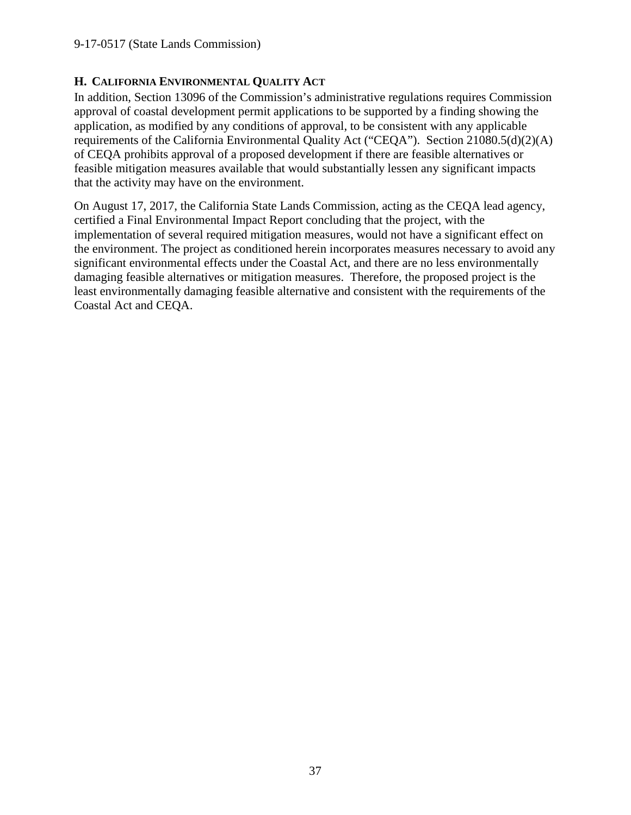## <span id="page-36-0"></span>**H. CALIFORNIA ENVIRONMENTAL QUALITY ACT**

In addition, Section 13096 of the Commission's administrative regulations requires Commission approval of coastal development permit applications to be supported by a finding showing the application, as modified by any conditions of approval, to be consistent with any applicable requirements of the California Environmental Quality Act ("CEQA"). Section 21080.5(d)(2)(A) of CEQA prohibits approval of a proposed development if there are feasible alternatives or feasible mitigation measures available that would substantially lessen any significant impacts that the activity may have on the environment.

On August 17, 2017, the California State Lands Commission, acting as the CEQA lead agency, certified a Final Environmental Impact Report concluding that the project, with the implementation of several required mitigation measures, would not have a significant effect on the environment. The project as conditioned herein incorporates measures necessary to avoid any significant environmental effects under the Coastal Act, and there are no less environmentally damaging feasible alternatives or mitigation measures. Therefore, the proposed project is the least environmentally damaging feasible alternative and consistent with the requirements of the Coastal Act and CEQA.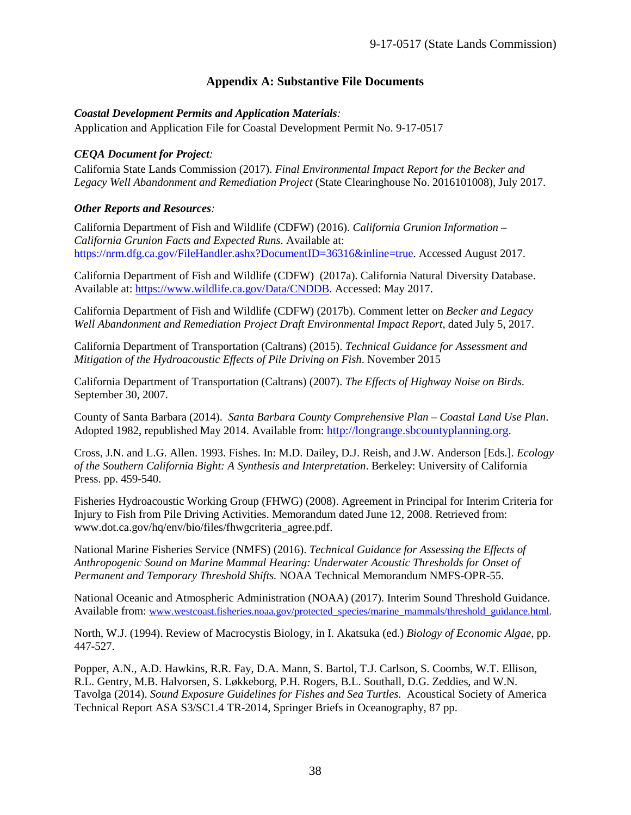## **Appendix A: Substantive File Documents**

#### <span id="page-37-0"></span>*Coastal Development Permits and Application Materials:*

Application and Application File for Coastal Development Permit No. 9-17-0517

#### *CEQA Document for Project:*

California State Lands Commission (2017). *Final Environmental Impact Report for the Becker and Legacy Well Abandonment and Remediation Project* (State Clearinghouse No. 2016101008), July 2017.

#### *Other Reports and Resources:*

California Department of Fish and Wildlife (CDFW) (2016). *California Grunion Information – California Grunion Facts and Expected Runs*. Available at: https://nrm.dfg.ca.gov/FileHandler.ashx?DocumentID=36316&inline=true. Accessed August 2017.

California Department of Fish and Wildlife (CDFW) (2017a). California Natural Diversity Database. Available at: [https://www.wildlife.ca.gov/Data/CNDDB.](https://www.wildlife.ca.gov/Data/CNDDB) Accessed: May 2017.

California Department of Fish and Wildlife (CDFW) (2017b). Comment letter on *Becker and Legacy Well Abandonment and Remediation Project Draft Environmental Impact Report*, dated July 5, 2017.

California Department of Transportation (Caltrans) (2015). *Technical Guidance for Assessment and Mitigation of the Hydroacoustic Effects of Pile Driving on Fish*. November 2015

California Department of Transportation (Caltrans) (2007). *The Effects of Highway Noise on Birds*. September 30, 2007.

County of Santa Barbara (2014). *Santa Barbara County Comprehensive Plan – Coastal Land Use Plan*. Adopted 1982, republished May 2014. Available from: [http://longrange.sbcountyplanning.org.](http://longrange.sbcountyplanning.org/)

Cross, J.N. and L.G. Allen. 1993. Fishes. In: M.D. Dailey, D.J. Reish, and J.W. Anderson [Eds.]. *Ecology of the Southern California Bight: A Synthesis and Interpretation*. Berkeley: University of California Press. pp. 459-540.

Fisheries Hydroacoustic Working Group (FHWG) (2008). Agreement in Principal for Interim Criteria for Injury to Fish from Pile Driving Activities. Memorandum dated June 12, 2008. Retrieved from: www.dot.ca.gov/hq/env/bio/files/fhwgcriteria\_agree.pdf.

National Marine Fisheries Service (NMFS) (2016). *Technical Guidance for Assessing the Effects of Anthropogenic Sound on Marine Mammal Hearing: Underwater Acoustic Thresholds for Onset of Permanent and Temporary Threshold Shifts.* NOAA Technical Memorandum NMFS-OPR-55.

National Oceanic and Atmospheric Administration (NOAA) (2017). Interim Sound Threshold Guidance. Available from: [www.westcoast.fisheries.noaa.gov/protected\\_species/marine\\_mammals/threshold\\_guidance.html.](http://www.westcoast.fisheries.noaa.gov/protected_species/marine_mammals/threshold_guidance.html)

North, W.J. (1994). Review of Macrocystis Biology, in I. Akatsuka (ed.) *Biology of Economic Algae*, pp. 447-527.

Popper, A.N., A.D. Hawkins, R.R. Fay, D.A. Mann, S. Bartol, T.J. Carlson, S. Coombs, W.T. Ellison, R.L. Gentry, M.B. Halvorsen, S. Løkkeborg, P.H. Rogers, B.L. Southall, D.G. Zeddies, and W.N. Tavolga (2014). *Sound Exposure Guidelines for Fishes and Sea Turtles.*Acoustical Society of America Technical Report ASA S3/SC1.4 TR-2014, Springer Briefs in Oceanography, 87 pp.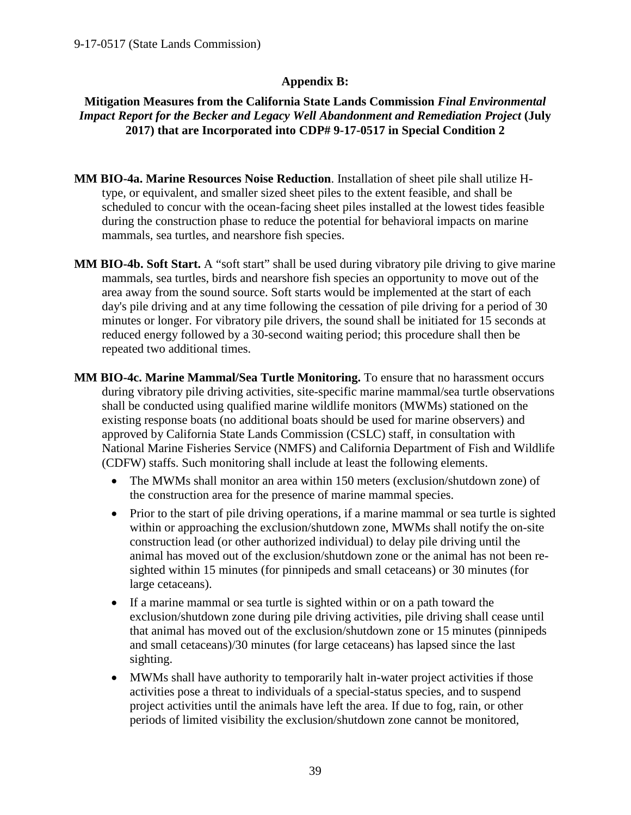## **Appendix B:**

## <span id="page-38-0"></span>**Mitigation Measures from the California State Lands Commission** *Final Environmental Impact Report for the Becker and Legacy Well Abandonment and Remediation Project* **(July 2017) that are Incorporated into CDP# 9-17-0517 in Special Condition 2**

- **MM BIO-4a. Marine Resources Noise Reduction**. Installation of sheet pile shall utilize Htype, or equivalent, and smaller sized sheet piles to the extent feasible, and shall be scheduled to concur with the ocean-facing sheet piles installed at the lowest tides feasible during the construction phase to reduce the potential for behavioral impacts on marine mammals, sea turtles, and nearshore fish species.
- **MM BIO-4b. Soft Start.** A "soft start" shall be used during vibratory pile driving to give marine mammals, sea turtles, birds and nearshore fish species an opportunity to move out of the area away from the sound source. Soft starts would be implemented at the start of each day's pile driving and at any time following the cessation of pile driving for a period of 30 minutes or longer. For vibratory pile drivers, the sound shall be initiated for 15 seconds at reduced energy followed by a 30-second waiting period; this procedure shall then be repeated two additional times.
- **MM BIO-4c. Marine Mammal/Sea Turtle Monitoring.** To ensure that no harassment occurs during vibratory pile driving activities, site-specific marine mammal/sea turtle observations shall be conducted using qualified marine wildlife monitors (MWMs) stationed on the existing response boats (no additional boats should be used for marine observers) and approved by California State Lands Commission (CSLC) staff, in consultation with National Marine Fisheries Service (NMFS) and California Department of Fish and Wildlife (CDFW) staffs. Such monitoring shall include at least the following elements.
	- The MWMs shall monitor an area within 150 meters (exclusion/shutdown zone) of the construction area for the presence of marine mammal species.
	- Prior to the start of pile driving operations, if a marine mammal or sea turtle is sighted within or approaching the exclusion/shutdown zone, MWMs shall notify the on-site construction lead (or other authorized individual) to delay pile driving until the animal has moved out of the exclusion/shutdown zone or the animal has not been resighted within 15 minutes (for pinnipeds and small cetaceans) or 30 minutes (for large cetaceans).
	- If a marine mammal or sea turtle is sighted within or on a path toward the exclusion/shutdown zone during pile driving activities, pile driving shall cease until that animal has moved out of the exclusion/shutdown zone or 15 minutes (pinnipeds and small cetaceans)/30 minutes (for large cetaceans) has lapsed since the last sighting.
	- MWMs shall have authority to temporarily halt in-water project activities if those activities pose a threat to individuals of a special-status species, and to suspend project activities until the animals have left the area. If due to fog, rain, or other periods of limited visibility the exclusion/shutdown zone cannot be monitored,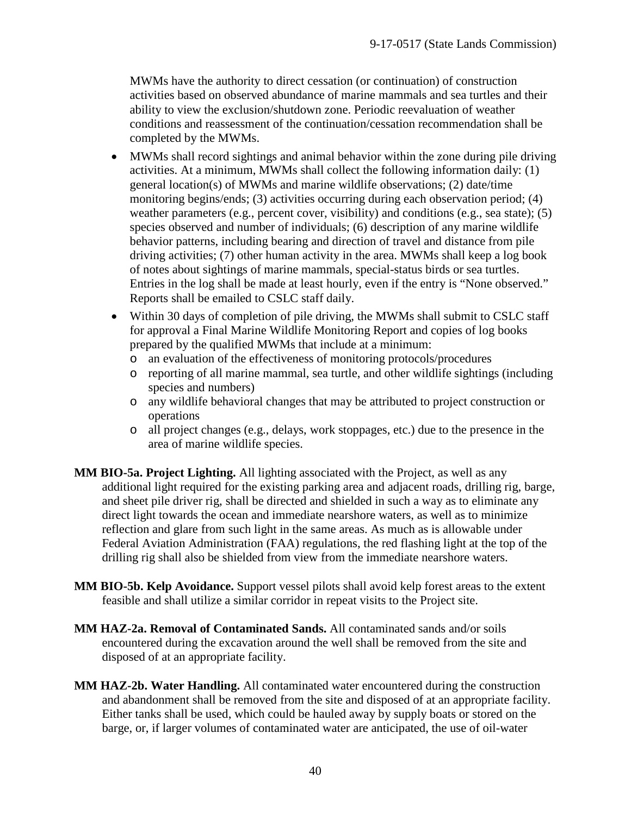MWMs have the authority to direct cessation (or continuation) of construction activities based on observed abundance of marine mammals and sea turtles and their ability to view the exclusion/shutdown zone. Periodic reevaluation of weather conditions and reassessment of the continuation/cessation recommendation shall be completed by the MWMs.

- MWMs shall record sightings and animal behavior within the zone during pile driving activities. At a minimum, MWMs shall collect the following information daily: (1) general location(s) of MWMs and marine wildlife observations; (2) date/time monitoring begins/ends; (3) activities occurring during each observation period; (4) weather parameters (e.g., percent cover, visibility) and conditions (e.g., sea state);  $(5)$ species observed and number of individuals; (6) description of any marine wildlife behavior patterns, including bearing and direction of travel and distance from pile driving activities; (7) other human activity in the area. MWMs shall keep a log book of notes about sightings of marine mammals, special-status birds or sea turtles. Entries in the log shall be made at least hourly, even if the entry is "None observed." Reports shall be emailed to CSLC staff daily.
- Within 30 days of completion of pile driving, the MWMs shall submit to CSLC staff for approval a Final Marine Wildlife Monitoring Report and copies of log books prepared by the qualified MWMs that include at a minimum:
	- o an evaluation of the effectiveness of monitoring protocols/procedures
	- o reporting of all marine mammal, sea turtle, and other wildlife sightings (including species and numbers)
	- o any wildlife behavioral changes that may be attributed to project construction or operations
	- o all project changes (e.g., delays, work stoppages, etc.) due to the presence in the area of marine wildlife species.
- **MM BIO-5a. Project Lighting.** All lighting associated with the Project, as well as any additional light required for the existing parking area and adjacent roads, drilling rig, barge, and sheet pile driver rig, shall be directed and shielded in such a way as to eliminate any direct light towards the ocean and immediate nearshore waters, as well as to minimize reflection and glare from such light in the same areas. As much as is allowable under Federal Aviation Administration (FAA) regulations, the red flashing light at the top of the drilling rig shall also be shielded from view from the immediate nearshore waters.
- **MM BIO-5b. Kelp Avoidance.** Support vessel pilots shall avoid kelp forest areas to the extent feasible and shall utilize a similar corridor in repeat visits to the Project site.
- **MM HAZ-2a. Removal of Contaminated Sands.** All contaminated sands and/or soils encountered during the excavation around the well shall be removed from the site and disposed of at an appropriate facility.
- **MM HAZ-2b. Water Handling.** All contaminated water encountered during the construction and abandonment shall be removed from the site and disposed of at an appropriate facility. Either tanks shall be used, which could be hauled away by supply boats or stored on the barge, or, if larger volumes of contaminated water are anticipated, the use of oil-water